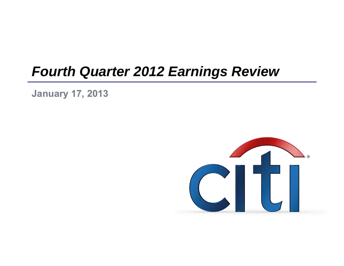# *Fourth Quarter 2012 Earnings Review*

**January 17, 2013**

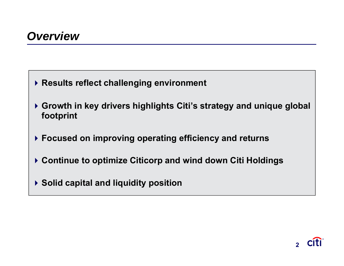- **Results reflect challenging environment**
- **Growth in key drivers highlights Citi's strategy and unique global footprint**
- **Focused on improving operating efficiency and returns**
- **Continue to optimize Citicorp and wind down Citi Holdings**
- **Solid capital and liquidity position**

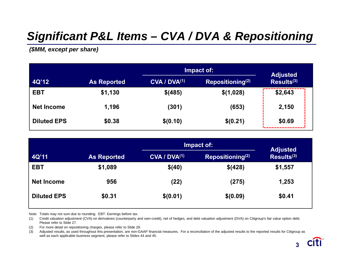# *Significant P&L Items – CVA / DVA & Repositioning*

*(\$MM, except per share)*

|                    |                    |                          | Impact of:          |                                           |  |  |  |
|--------------------|--------------------|--------------------------|---------------------|-------------------------------------------|--|--|--|
| 4Q'12              | <b>As Reported</b> | CVA / DVA <sup>(1)</sup> | Repositioning $(2)$ | <b>Adjusted</b><br>Results <sup>(3)</sup> |  |  |  |
| <b>EBT</b>         | \$1,130            | \$(485)                  | \$(1,028)           | \$2,643                                   |  |  |  |
| <b>Net Income</b>  | 1,196              | (301)                    | (653)               | 2,150                                     |  |  |  |
| <b>Diluted EPS</b> | \$0.38             | \$(0.10)                 | \$(0.21)            | \$0.69                                    |  |  |  |

|                    |                    |                          | Impact of:                   | <b>Adjusted</b>        |
|--------------------|--------------------|--------------------------|------------------------------|------------------------|
| 4Q'11              | <b>As Reported</b> | CVA / DVA <sup>(1)</sup> | Repositioning <sup>(2)</sup> | Results <sup>(3)</sup> |
| <b>EBT</b>         | \$1,089            | \$(40)                   | \$(428)                      | \$1,557                |
| <b>Net Income</b>  | 956                | (22)                     | (275)                        | 1,253                  |
| <b>Diluted EPS</b> | \$0.31             | \$(0.01)                 | \$(0.09)                     | \$0.41                 |

Note: Totals may not sum due to rounding. EBT: Earnings before tax.

(1) Credit valuation adjustment (CVA) on derivatives (counterparty and own-credit), net of hedges, and debt valuation adjustment (DVA) on Citigroup's fair value option debt. Please refer to Slide 27.

(2) For more detail on repositioning charges, please refer to Slide 28.

(3) Adjusted results, as used throughout this presentation, are non-GAAP financial measures. For a reconciliation of the adjusted results to the reported results for Citigroup as well as each applicable business segment, please refer to Slides 44 and 45.



**2 3**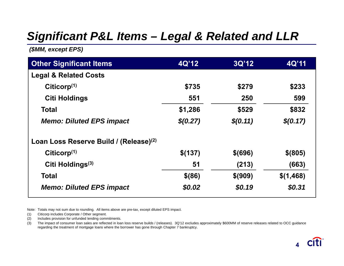### *Significant P&L Items – Legal & Related and LLR*

*(\$MM, except EPS)*

| <b>Other Significant Items</b>                     | 4Q'12    | 3Q'12     | 4Q'11     |
|----------------------------------------------------|----------|-----------|-----------|
| <b>Legal &amp; Related Costs</b>                   |          |           |           |
| Citicorp $(1)$                                     | \$735    | \$279     | \$233     |
| <b>Citi Holdings</b>                               | 551      | 250       | 599       |
| <b>Total</b>                                       | \$1,286  | \$529     | \$832     |
| <b>Memo: Diluted EPS impact</b>                    | \$(0.27) | \$(0.11)  | \$(0.17)  |
| Loan Loss Reserve Build / (Release) <sup>(2)</sup> |          |           |           |
| Citicorp <sup>(1)</sup>                            | \$(137)  | $$$ (696) | $$$ (805) |
| Citi Holdings <sup>(3)</sup>                       | 51       | (213)     | (663)     |
| Total                                              | $$$ (86) | \$ (909)  | \$(1,468) |
| <b>Memo: Diluted EPS impact</b>                    | \$0.02   | \$0.19    | \$0.31    |

Note: Totals may not sum due to rounding. All items above are pre-tax, except diluted EPS impact.

(1) Citicorp includes Corporate / Other segment.

(2) Includes provision for unfunded lending commitments.

(3) The impact of consumer loan sales are reflected in loan loss reserve builds / (releases). 3Q'12 excludes approximately \$600MM of reserve releases related to OCC guidance regarding the treatment of mortgage loans where the borrower has gone through Chapter 7 bankruptcy.

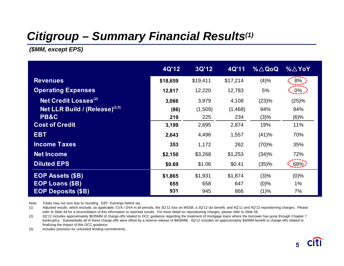### *Citigroup – Summary Financial Results(1)*

*(\$MM, except EPS)*

|                                     | 4Q'12    | 3Q'12    | 4Q'11    | $% \triangle Q$ oQ | $\% \triangle$ YoY |
|-------------------------------------|----------|----------|----------|--------------------|--------------------|
| <b>Revenues</b>                     | \$18,659 | \$19,411 | \$17,214 | (4)%               | 8%                 |
| <b>Operating Expenses</b>           | 12,817   | 12,220   | 12,783   | 5%                 | $0\%$              |
| Net Credit Losses <sup>(2)</sup>    | 3,066    | 3,979    | 4,108    | (23)%              | (25)%              |
| Net LLR Build / $(Release)^{(2,3)}$ | (86)     | (1,509)  | (1, 468) | 94%                | 94%                |
| <b>PB&amp;C</b>                     | 219      | 225      | 234      | (3)%               | $(6)$ %            |
| <b>Cost of Credit</b>               | 3,199    | 2,695    | 2,874    | 19%                | 11%                |
| <b>EBT</b>                          | 2,643    | 4,496    | 1,557    | (41)%              | 70%                |
| <b>Income Taxes</b>                 | 353      | 1,172    | 262      | (70)%              | 35%                |
| <b>Net Income</b>                   | \$2,150  | \$3,268  | \$1,253  | (34)%              | 72%                |
| <b>Diluted EPS</b>                  | \$0.69   | \$1.06   | \$0.41   | (35)%              | 68%                |
| <b>EOP Assets (\$B)</b>             | \$1,865  | \$1,931  | \$1,874  | (3)%               | $(0)$ %            |
| <b>EOP Loans (\$B)</b>              | 655      | 658      | 647      | $(0)\%$            | 1%                 |
| <b>EOP Deposits (\$B)</b>           | 931      | 945      | 866      | (1)%               | 7%                 |

Note: Totals may not sum due to rounding. EBT: Earnings before tax.

(1) Adjusted results, which exclude, as applicable, CVA / DVA in all periods, the 3Q'12 loss on MSSB, a 3Q'12 tax benefit, and 4Q'11 and 4Q'12 repositioning charges. Please refer to Slide 44 for a reconciliation of this information to reported results. For more detail on repositioning charges, please refer to Slide 28.

(2) 3Q'12 includes approximately \$635MM of charge-offs related to OCC guidance regarding the treatment of mortgage loans where the borrower has gone through Chapter 7 bankruptcy. Substantially all of these charge-offs were offset by a reserve release of \$600MM. 4Q'12 includes an approximately \$40MM benefit to charge-offs related to finalizing the impact of this OCC guidance.

(3) Includes provision for unfunded lending commitments.

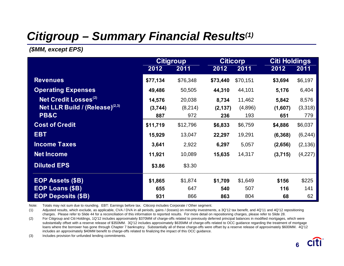# *Citigroup – Summary Financial Results(1)*

*(\$MM, except EPS)*

|                                        |          | <b>Citigroup</b> |          | <b>Citicorp</b> | <b>Citi Holdings</b> |          |
|----------------------------------------|----------|------------------|----------|-----------------|----------------------|----------|
|                                        | 2012     | 2011             | 2012     | 2011            | 2012                 | 2011     |
| <b>Revenues</b>                        | \$77,134 | \$76,348         | \$73,440 | \$70,151        | \$3,694              | \$6,197  |
| <b>Operating Expenses</b>              | 49,486   | 50,505           | 44,310   | 44,101          | 5,176                | 6,404    |
| <b>Net Credit Losses<sup>(2)</sup></b> | 14,576   | 20,038           | 8,734    | 11,462          | 5,842                | 8,576    |
| Net LLR Build / $(Release)^{(2,3)}$    | (3,744)  | (8,214)          | (2, 137) | (4,896)         | (1,607)              | (3,318)  |
| <b>PB&amp;C</b>                        | 887      | 972              | 236      | 193             | 651                  | 779      |
| <b>Cost of Credit</b>                  | \$11,719 | \$12,796         | \$6,833  | \$6,759         | \$4,886              | \$6,037  |
| <b>EBT</b>                             | 15,929   | 13,047           | 22,297   | 19,291          | (6, 368)             | (6, 244) |
| <b>Income Taxes</b>                    | 3,641    | 2,922            | 6,297    | 5,057           | (2,656)              | (2, 136) |
| <b>Net Income</b>                      | 11,921   | 10,089           | 15,635   | 14,317          | (3,715)              | (4,227)  |
| <b>Diluted EPS</b>                     | \$3.86   | \$3.30           |          |                 |                      |          |
| <b>EOP Assets (\$B)</b>                | \$1,865  | \$1,874          | \$1,709  | \$1,649         | \$156                | \$225    |
| <b>EOP Loans (\$B)</b>                 | 655      | 647              | 540      | 507             | 116                  | 141      |
| <b>EOP Deposits (\$B)</b>              | 931      | 866              | 863      | 804             | 68                   | 62       |

Note: Totals may not sum due to rounding. EBT: Earnings before tax. Citicorp includes Corporate / Other segment.

(1) Adjusted results, which exclude, as applicable, CVA / DVA in all periods, gains / (losses) on minority investments, a 3Q'12 tax benefit, and 4Q'11 and 4Q'12 repositioning charges. Please refer to Slide 44 for a reconciliation of this information to reported results. For more detail on repositioning charges, please refer to Slide 28.

(2) For Citigroup and Citi Holdings, 1Q'12 includes approximately \$370MM of charge-offs related to previously deferred principal balances in modified mortgages, which were substantially offset with a reserve release of \$350MM. 3Q'12 includes approximately \$635MM of charge-offs related to OCC guidance regarding the treatment of mortgage loans where the borrower has gone through Chapter 7 bankruptcy. Substantially all of these charge-offs were offset by a reserve release of approximately \$600MM. 4Q'12 includes an approximately \$40MM benefit to charge-offs related to finalizing the impact of this OCC guidance.

(3) Includes provision for unfunded lending commitments.

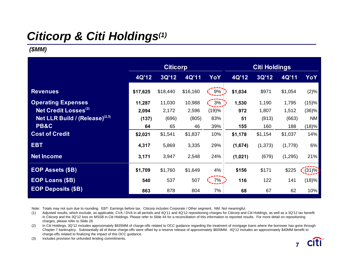# *Citicorp & Citi Holdings(1)*

### *(\$MM)*

|                                     | <b>Citicorp</b> |              |          |       | <b>Citi Holdings</b> |          |         |           |
|-------------------------------------|-----------------|--------------|----------|-------|----------------------|----------|---------|-----------|
|                                     | 4Q'12           | <b>3Q'12</b> | 4Q'11    | YoY   | 4Q'12                | 3Q'12    | 4Q'11   | YoY       |
| <b>Revenues</b>                     | \$17,625        | \$18,440     | \$16,160 | 9%    | \$1,034              | \$971    | \$1,054 | (2)%      |
| <b>Operating Expenses</b>           | 11,287          | 11,030       | 10,988   | 3%    | 1,530                | 1,190    | 1,795   | (15)%     |
| Net Credit Losses <sup>(2)</sup>    | 2,094           | 2,172        | 2,596    | (19)% | 972                  | 1,807    | 1,512   | (36)%     |
| Net LLR Build / $(Release)^{(2,3)}$ | (137)           | (696)        | (805)    | 83%   | 51                   | (813)    | (663)   | <b>NM</b> |
| PB&C                                | 64              | 65           | 46       | 39%   | 155                  | 160      | 188     | (18)%     |
| <b>Cost of Credit</b>               | \$2,021         | \$1,541      | \$1,837  | 10%   | \$1,178              | \$1,154  | \$1,037 | 14%       |
| <b>EBT</b>                          | 4,317           | 5,869        | 3,335    | 29%   | (1,674)              | (1, 373) | (1,778) | 6%        |
| <b>Net Income</b>                   | 3,171           | 3,947        | 2,548    | 24%   | (1,021)              | (679)    | (1,295) | 21%       |
| <b>EOP Assets (\$B)</b>             | \$1,709         | \$1,760      | \$1,649  | 4%    | \$156                | \$171    | \$225   | $(31)\%$  |
| <b>EOP Loans (\$B)</b>              | 540             | 537          | 507      | 7%    | 116                  | 122      | 141     | (18)%     |
| <b>EOP Deposits (\$B)</b>           | 863             | 878          | 804      | 7%    | 68                   | 67       | 62      | 10%       |

Note: Totals may not sum due to rounding. EBT: Earnings before tax. Citicorp includes Corporate / Other segment. NM: Not meaningful.

(1) Adjusted results, which exclude, as applicable, CVA / DVA in all periods and 4Q'11 and 4Q'12 repositioning charges for Citicorp and Citi Holdings, as well as a 3Q'12 tax benefit in Citicorp and the 3Q'12 loss on MSSB in Citi Holdings. Please refer to Slide 44 for a reconciliation of this information to reported results. For more detail on repositioning charges, please refer to Slide 28.

(2) In Citi Holdings, 3Q'12 includes approximately \$635MM of charge-offs related to OCC guidance regarding the treatment of mortgage loans where the borrower has gone through Chapter 7 bankruptcy. Substantially all of these charge-offs were offset by a reserve release of approximately \$600MM. 4Q'12 includes an approximately \$40MM benefit to charge-offs related to finalizing the impact of this OCC guidance.

(3) Includes provision for unfunded lending commitments.

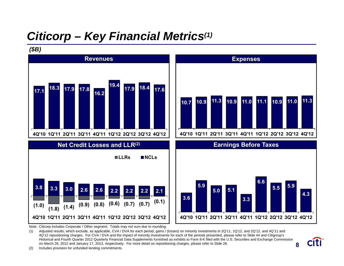# *Citicorp – Key Financial Metrics(1)*

#### *(\$B)*



Note: Citicorp includes Corporate / Other segment. Totals may not sum due to rounding.

**87** (1) Adjusted results, which exclude, as applicable, CVA / DVA for each period, gains / (losses) on minority investments in 2Q'11, 1Q'12, and 2Q'12, and 4Q'11 and 4Q'12 repositioning charges. For CVA / DVA and the impact of minority investments for each of the periods presented, please refer to Slide 44 and Citigroup's Historical and Fourth Quarter 2012 Quarterly Financial Data Supplements furnished as exhibits to Form 8-K filed with the U.S. Securities and Exchange Commission on March 26, 2012 and January 17, 2013, respectively. For more detail on repositioning charges, please refer to Slide 28.

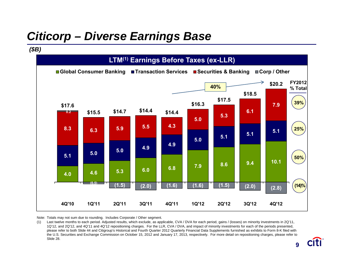# *Citicorp – Diverse Earnings Base*

#### **4.0 4.6 5.3 6.0 6.8 7.9 8.6 9.4 10.1 5.1 5.0 5.0 4.9 4.9 5.0 5.1 5.1 5.1 8.3 6.3 5.9 5.5 4.3 5.0 5.3 6.1 7.9 0.2 (0.5) (1.5) (2.0) (1.6) (1.6) (1.5) (2.0) (2.8) \$17.6 \$15.5 \$14.7 \$14.4 \$14.4 \$16.3 \$17.5 \$18.5 \$20.2 4Q'10 1Q'11 2Q'11 3Q'11 4Q'11 1Q'12 2Q'12 3Q'12 4Q'12** ■Global Consumer Banking ■Transaction Services ■Securities & Banking ■Corp / Other **LTM(1) Earnings Before Taxes (ex-LLR)** *(\$B)* **40%39% 25% 50% (14)% FY2012% Total**

Note: Totals may not sum due to rounding. Includes Corporate / Other segment.

(1) Last twelve months to each period. Adjusted results, which exclude, as applicable, CVA / DVA for each period, gains / (losses) on minority investments in 2Q'11, 1Q'12, and 2Q'12, and 4Q'11 and 4Q'12 repositioning charges. For the LLR, CVA / DVA, and impact of minority investments for each of the periods presented, please refer to both Slide 44 and Citigroup's Historical and Fourth Quarter 2012 Quarterly Financial Data Supplements furnished as exhibits to Form 8-K filed with the U.S. Securities and Exchange Commission on October 15, 2012 and January 17, 2013, respectively. For more detail on repositioning charges, please refer to Slide 28.

**8 9**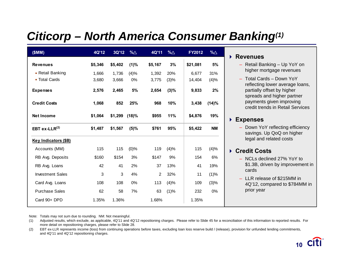### *Citicorp – North America Consumer Banking(1)*

| (SMM)                       | 4Q'12   | 3Q'12   | %∆      | 4Q'11          | $% \triangle$ | FY2012   | %∆        |
|-----------------------------|---------|---------|---------|----------------|---------------|----------|-----------|
| <b>Revenues</b>             | \$5,346 | \$5,402 | (1)%    | \$5,167        | 3%            | \$21,081 | 5%        |
| • Retail Banking            | 1,666   | 1,736   | (4)%    | 1,392          | 20%           | 6,677    | 31%       |
| • Total Cards               | 3,680   | 3,666   | 0%      | 3,775          | (3)%          | 14,404   | (4)%      |
| <b>Expenses</b>             | 2,576   | 2,465   | 5%      | 2,654          | $(3)\%$       | 9,833    | 2%        |
| <b>Credit Costs</b>         | 1,068   | 852     | 25%     | 968            | 10%           | 3,438    | (14)%     |
| <b>Net Income</b>           | \$1,064 | \$1,299 | (18)%   | \$955          | 11%           | \$4,876  | 19%       |
| EBT ex-LLR $^{(2)}$         | \$1,487 | \$1,567 | (5)%    | \$761          | 95%           | \$5,422  | <b>NM</b> |
| <b>Key Indicators (\$B)</b> |         |         |         |                |               |          |           |
| Accounts (MM)               | 115     | 115     | $(0)\%$ | 119            | (4)%          | 115      | (4)%      |
| RB Avg. Deposits            | \$160   | \$154   | 3%      | \$147          | 9%            | 154      | 6%        |
| RB Avg. Loans               | 42      | 41      | 2%      | 37             | 13%           | 41       | 19%       |
| <b>Investment Sales</b>     | 3       | 3       | 4%      | $\overline{2}$ | 32%           | 11       | (1)%      |
| Card Avg. Loans             | 108     | 108     | 0%      | 113            | (4)%          | 109      | (3)%      |
| <b>Purchase Sales</b>       | 62      | 58      | 7%      | 63             | (1)%          | 232      | 0%        |
| Card 90+ DPD                | 1.35%   | 1.36%   |         | 1.68%          |               | 1.35%    |           |

#### **Revenues**

- Retail Banking Up YoY on higher mortgage revenues
- Total Cards Down YoY reflecting lower average loans, partially offset by higher spreads and higher partner payments given improving credit trends in Retail Services

#### **Expenses**

– Down YoY reflecting efficiency savings. Up QoQ on higher legal and related costs

### **Credit Costs**

- NCLs declined 27% YoY to \$1.3B, driven by improvement in cards
- LLR release of \$215MM in 4Q'12, compared to \$784MM in prior year

Note: Totals may not sum due to rounding. NM: Not meaningful.

(1) Adjusted results, which exclude, as applicable, 4Q'11 and 4Q'12 repositioning charges. Please refer to Slide 45 for a reconciliation of this information to reported results. For more detail on repositioning charges, please refer to Slide 28.

(2) EBT ex-LLR represents income (loss) from continuing operations before taxes, excluding loan loss reserve build / (release), provision for unfunded lending commitments, and 4Q'11 and 4Q'12 repositioning charges.

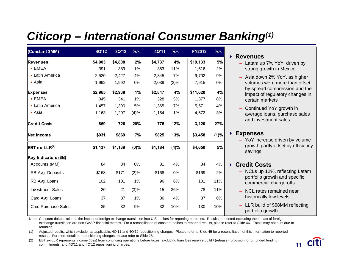# *Citicorp – International Consumer Banking(1)*

| (Constant \$MM)            | 4Q'12   | 3Q'12   | %∆      | 4Q'11   | $% \triangle$ | <b>FY2012</b> | $% \triangle$ |
|----------------------------|---------|---------|---------|---------|---------------|---------------|---------------|
| <b>Revenues</b>            | \$4,903 | \$4,808 | 2%      | \$4,737 | 4%            | \$19,133      | 5%            |
| $\blacksquare$ EMEA        | 391     | 389     | 1%      | 353     | 11%           | 1,516         | 2%            |
| <b>Latin America</b>       | 2,520   | 2,427   | 4%      | 2,345   | 7%            | 9,702         | 9%            |
| ■ Asia                     | 1,992   | 1,992   | 0%      | 2,039   | (2)%          | 7,915         | 0%            |
| <b>Expenses</b>            | \$2,965 | \$2,938 | 1%      | \$2,847 | 4%            | \$11,620      | 4%            |
| $-EMEA$                    | 345     | 341     | 1%      | 328     | 5%            | 1,377         | 8%            |
| <b>Latin America</b>       | 1,457   | 1,390   | 5%      | 1,365   | 7%            | 5,571         | 4%            |
| ■ Asia                     | 1,163   | 1,207   | (4)%    | 1,154   | 1%            | 4,672         | 3%            |
| <b>Credit Costs</b>        | 869     | 726     | 20%     | 776     | 12%           | 3,120         | 27%           |
| Net Income                 | \$931   | \$869   | 7%      | \$825   | 13%           | \$3,458       | $(1)\%$       |
| $EBT$ ex-LLR $^{(2)}$      | \$1,137 | \$1,139 | $(0)\%$ | \$1,184 | (4)%          | \$4,650       | 5%            |
| Key Indicators (\$B)       |         |         |         |         |               |               |               |
| Accounts (MM)              | 84      | 84      | 0%      | 81      | 4%            | 84            | 4%            |
| RB Avg. Deposits           | \$168   | \$171   | (2)%    | \$168   | 0%            | \$169         | 2%            |
| RB Avg. Loans              | 102     | 101     | 1%      | 96      | $6\%$         | 101           | 11%           |
| <b>Investment Sales</b>    | 20      | 21      | (3)%    | 15      | 36%           | 78            | 11%           |
| Card Avg. Loans            | 37      | 37      | 1%      | 36      | 4%            | 37            | 6%            |
| <b>Card Purchase Sales</b> | 35      | 32      | 9%      | 32      | 10%           | 130           | 10%           |

#### **Revenues**

- Latam up 7% YoY, driven by strong growth in Mexico
- Asia down 2% YoY, as higher volumes were more than offset by spread compression and the impact of regulatory changes in certain markets
- Continued YoY growth in average loans, purchase sales and investment sales

#### **Expenses**

– YoY increase driven by volume growth partly offset by efficiency savings

#### **Credit Costs**

- NCLs up 12%, reflecting Latam portfolio growth and specific commercial charge-offs
- NCL rates remained near historically low levels
- LLR build of \$68MM reflecting portfolio growth

Note: Constant dollar excludes the impact of foreign exchange translation into U.S. dollars for reporting purposes. Results presented excluding the impact of foreign exchange translation are non-GAAP financial metrics. For a reconciliation of constant dollars to reported results, please refer to Slide 46. Totals may not sum due to rounding.

(1) Adjusted results, which exclude, as applicable, 4Q'11 and 4Q'12 repositioning charges. Please refer to Slide 45 for a reconciliation of this information to reported results. For more detail on repositioning charges, please refer to Slide 28.

(2) EBT ex-LLR represents income (loss) from continuing operations before taxes, excluding loan loss reserve build / (release), provision for unfunded lending commitments, and 4Q'11 and 4Q'12 repositioning charges.

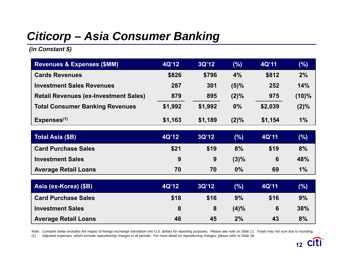# *Citicorp – Asia Consumer Banking*

*(in Constant \$)*

| <b>Revenues &amp; Expenses (\$MM)</b>        | 4Q'12   | 3Q'12   | $(\%)$  | 4Q'11   | (%)      |
|----------------------------------------------|---------|---------|---------|---------|----------|
| <b>Cards Revenues</b>                        | \$826   | \$796   | 4%      | \$812   | 2%       |
| <b>Investment Sales Revenues</b>             | 287     | 301     | $(5)\%$ | 252     | 14%      |
| <b>Retail Revenues (ex-Investment Sales)</b> | 879     | 895     | $(2)\%$ | 975     | $(10)\%$ |
| <b>Total Consumer Banking Revenues</b>       | \$1,992 | \$1,992 | 0%      | \$2,039 | $(2)\%$  |
| Expenses <sup>(1)</sup>                      | \$1,163 | \$1,189 | $(2)\%$ | \$1,154 | $1\%$    |

| Total Asia (\$B)            | 4Q'12 | 3Q'12 | (%)     | 4Q'11 | $(\%)$ |
|-----------------------------|-------|-------|---------|-------|--------|
| <b>Card Purchase Sales</b>  | \$21  | \$19  | 8%      | \$19  | 8%     |
| <b>Investment Sales</b>     | 9     | 9     | $(3)\%$ |       | 48%    |
| <b>Average Retail Loans</b> | 70    | 70    | $0\%$   | 69    | 1%     |

| <b>Asia (ex-Korea) (\$B)</b> | 4Q'12 | 3Q'12 | (%)     | <b>4Q'11</b> | $(\%)$ |
|------------------------------|-------|-------|---------|--------------|--------|
| <b>Card Purchase Sales</b>   | \$18  | \$16  | 9%      | \$16         | 9%     |
| <b>Investment Sales</b>      |       | 8     | $(4)\%$ | 6            | 38%    |
| <b>Average Retail Loans</b>  | 46    | 45    | 2%      | 43           | 8%     |

Note: Constant dollar excludes the impact of foreign exchange translation into U.S. dollars for reporting purposes. Please see note on Slide 11. Totals may not sum due to rounding. (1) Adjusted expenses, which exclude repositioning charges in all periods. For more detail on repositioning charges, please refer to Slide 28.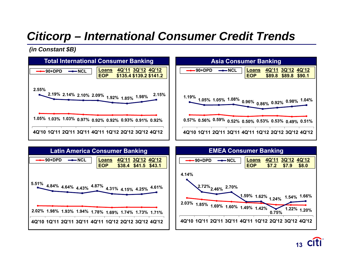# *Citicorp – International Consumer Credit Trends*

*(in Constant \$B)*





**12 13**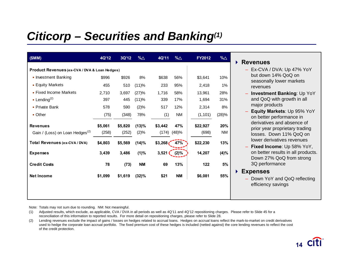# *Citicorp – Securities and Banking(1)*

| (SMM)                                         | 4Q'12   | 3Q'12   | %∆        | 4Q'11   | $% \triangle$ | FY2012   | %∆    |
|-----------------------------------------------|---------|---------|-----------|---------|---------------|----------|-------|
| Product Revenues (ex-CVA / DVA & Loan Hedges) |         |         |           |         |               |          |       |
| • Investment Banking                          | \$996   | \$926   | 8%        | \$638   | 56%           | \$3,641  | 10%   |
| <b>Equity Markets</b>                         | 455     | 510     | (11)%     | 233     | 95%           | 2,418    | 1%    |
| • Fixed Income Markets                        | 2,710   | 3,697   | (27)%     | 1,716   | 58%           | 13,961   | 28%   |
| <b>Lending</b> <sup>(2)</sup>                 | 397     | 445     | (11)%     | 339     | 17%           | 1,694    | 31%   |
| • Private Bank                                | 578     | 590     | (2)%      | 517     | 12%           | 2,314    | 8%    |
| $\blacksquare$ Other                          | (75)    | (348)   | 78%       | (1)     | <b>NM</b>     | (1, 101) | (28)% |
| <b>Revenues</b>                               | \$5,061 | \$5,820 | (13)%     | \$3,442 | 47%           | \$22,927 | 20%   |
| Gain / (Loss) on Loan Hedges <sup>(2)</sup>   | (258)   | (252)   | (2)%      | (174)   | (48)%         | (698)    | ΝM    |
| Total Revenues (ex-CVA / DVA)                 | \$4,803 | \$5,569 | (14)%     | \$3,268 | 47%           | \$22,230 | 13%   |
| <b>Expenses</b>                               | 3,439   | 3,486   | (1)%      | 3,521   | (2)%          | 14,207   | (4)%  |
| <b>Credit Costs</b>                           | 78      | (73)    | <b>NM</b> | 69      | 13%           | 122      | 5%    |
| <b>Net Income</b>                             | \$1,099 | \$1,619 | (32)%     | \$21    | <b>NM</b>     | \$6,081  | 55%   |
|                                               |         |         |           |         |               |          |       |
|                                               |         |         |           |         |               |          |       |

#### **Revenues**

- Ex-CVA / DVA: Up 47% YoY but down 14% QoQ on seasonally lower markets revenues
- **Investment Banking**: Up YoY and QoQ with growth in all major products
- **Equity Markets**: Up 95% YoY on better performance in derivatives and absence of prior year proprietary trading losses. Down 11% QoQ on lower derivatives revenues
- **Fixed Income**: Up 58% YoY, on better results in all products. Down 27% QoQ from strong 3Q performance

#### **Expenses**

– Down YoY and QoQ reflecting efficiency savings

Note: Totals may not sum due to rounding. NM: Not meaningful.

(1) Adjusted results, which exclude, as applicable, CVA / DVA in all periods as well as 4Q'11 and 4Q'12 repositioning charges. Please refer to Slide 45 for a reconciliation of this information to reported results. For more detail on repositioning charges, please refer to Slide 28.

(2) Lending revenues exclude the impact of gains / losses on hedges related to accrual loans. Hedges on accrual loans reflect the mark-to-market on credit derivatives used to hedge the corporate loan accrual portfolio. The fixed premium cost of these hedges is included (netted against) the core lending revenues to reflect the cost of the credit protection.

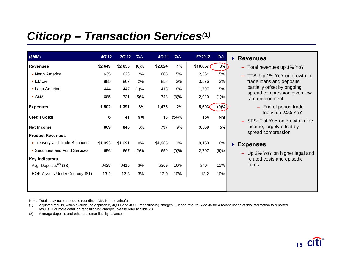### *Citicorp – Transaction Services(1)*

| (SMM)                              | 4Q'12   | 3Q'12   | $\% \triangle$ | 4Q'11   | $% \triangle$ | FY2012   | $% \triangle$ | <b>Revenues</b><br>$\blacktriangleright$                    |
|------------------------------------|---------|---------|----------------|---------|---------------|----------|---------------|-------------------------------------------------------------|
| <b>Revenues</b>                    | \$2,649 | \$2,658 | $(0)\%$        | \$2,624 | 1%            | \$10,857 | $3\%$         | - Total revenues up 1% YoY                                  |
| • North America                    | 635     | 623     | 2%             | 605     | 5%            | 2,564    | 5%            | - TTS: Up 1% YoY on growth in                               |
| $-EMEA$                            | 885     | 867     | 2%             | 858     | 3%            | 3,576    | 3%            | trade loans and deposits,                                   |
| • Latin America                    | 444     | 447     | (1)%           | 413     | 8%            | 1,797    | 5%            | partially offset by ongoing<br>spread compression given low |
| $\blacksquare$ Asia                | 685     | 721     | (5)%           | 748     | (8)%          | 2,920    | (1)%          | rate environment                                            |
| <b>Expenses</b>                    | 1,502   | 1,391   | 8%             | 1,476   | 2%            | 5,693(   | $(0)\%$       | End of period trade<br>$\overline{\phantom{0}}$             |
| <b>Credit Costs</b>                | 6       | 41      | <b>NM</b>      | 13      | (54)%         | 154      | <b>NM</b>     | loans up 24% YoY<br>- SFS: Flat YoY on growth in fee        |
| <b>Net Income</b>                  | 869     | 843     | 3%             | 797     | 9%            | 3,539    | 5%            | income, largely offset by<br>spread compression             |
| <b>Product Revenues</b>            |         |         |                |         |               |          |               |                                                             |
| • Treasury and Trade Solutions     | \$1,993 | \$1,991 | 0%             | \$1,965 | $1\%$         | 8,150    | $6\%$         | <b>Expenses</b>                                             |
| • Securities and Fund Services     | 656     | 667     | (2)%           | 659     | $(0)\%$       | 2,707    | $(6)\%$       | - Up 2% YoY on higher legal and                             |
| <b>Key Indicators</b>              |         |         |                |         |               |          |               | related costs and episodic                                  |
| Avg. Deposits <sup>(2)</sup> (\$B) | \$428   | \$415   | 3%             | \$369   | 16%           | \$404    | 11%           | items                                                       |
| EOP Assets Under Custody (\$T)     | 13.2    | 12.8    | 3%             | 12.0    | 10%           | 13.2     | 10%           |                                                             |
|                                    |         |         |                |         |               |          |               |                                                             |
|                                    |         |         |                |         |               |          |               |                                                             |

Note: Totals may not sum due to rounding. NM: Not meaningful.

(1) Adjusted results, which exclude, as applicable, 4Q'11 and 4Q'12 repositioning charges. Please refer to Slide 45 for a reconciliation of this information to reported results. For more detail on repositioning charges, please refer to Slide 28.

(2) Average deposits and other customer liability balances.

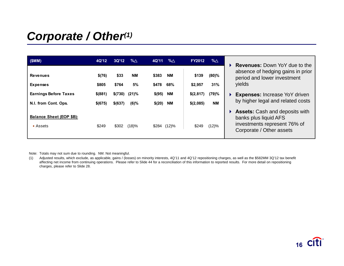### *Corporate / Other(1)*

| (SMM)                                                    | 4Q'12           | 3Q'12         | %∆              | 4Q'11          | %∆               | <b>FY2012</b>    | %∆           | <b>Revenues:</b> Down YoY due to the                                                                                  |
|----------------------------------------------------------|-----------------|---------------|-----------------|----------------|------------------|------------------|--------------|-----------------------------------------------------------------------------------------------------------------------|
| <b>Revenues</b><br><b>Expenses</b>                       | \$(76)<br>\$805 | \$33<br>\$764 | <b>NM</b><br>5% | \$383<br>\$478 | <b>NM</b><br>68% | \$139<br>\$2,957 | (80)%<br>31% | absence of hedging gains in prior<br>period and lower investment<br>yields                                            |
| <b>Earnings Before Taxes</b>                             | \$ (881)        | \$(730)       | (21)%           | \$(95)         | <b>NM</b>        | \$(2,817)        | (79)%        | Expenses: Increase YoY driven                                                                                         |
| N.I. from Cont. Ops.                                     | \$(675)         | \$(637)       | $(6)\%$         | \$(20)         | <b>NM</b>        | \$(2,085)        | <b>NM</b>    | by higher legal and related costs                                                                                     |
| <b>Balance Sheet (EOP \$B):</b><br>$\blacksquare$ Assets | \$249           | \$302         | (18)%           |                | \$284 (12)%      | \$249            | (12)%        | ▶ Assets: Cash and deposits with<br>banks plus liquid AFS<br>investments represent 76% of<br>Corporate / Other assets |

Note: Totals may not sum due to rounding. NM: Not meaningful.

(1) Adjusted results, which exclude, as applicable, gains / (losses) on minority interests, 4Q'11 and 4Q'12 repositioning charges, as well as the \$582MM 3Q'12 tax benefit affecting net income from continuing operations. Please refer to Slide 44 for a reconciliation of this information to reported results. For more detail on repositioning charges, please refer to Slide 28.

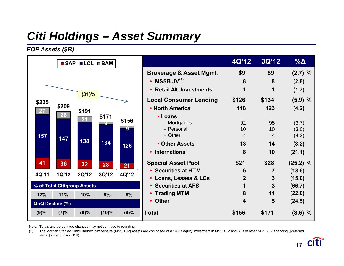# *Citi Holdings – Asset Summary*

*EOP Assets (\$B)*



Note: Totals and percentage changes may not sum due to rounding.

(1) The Morgan Stanley Smith Barney joint venture (MSSB JV) assets are comprised of a \$4.7B equity investment in MSSB JV and \$3B of other MSSB JV financing (preferred stock \$2B and loans \$1B).

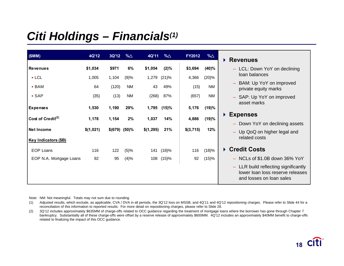### *Citi Holdings – Financials(1)*

| (SMM)                                     | 4Q'12     | 3Q'12         | %∆        | 4Q'11     | %∆      | <b>FY2012</b> | $% \triangle$ | <b>Revenues</b><br>Þ.                                                                                |
|-------------------------------------------|-----------|---------------|-----------|-----------|---------|---------------|---------------|------------------------------------------------------------------------------------------------------|
| <b>Revenues</b>                           | \$1,034   | \$971         | 6%        | \$1,054   | $(2)\%$ | \$3,694       | (40)%         | - LCL: Down YoY on declining                                                                         |
| $-LCL$                                    | 1,005     | 1,104         | (9)%      | 1,279     | (21)%   | 4,366         | (20)%         | loan balances                                                                                        |
| $-BAM$                                    | 64        | (120)         | <b>NM</b> | 43        | 49%     | (15)          | <b>NM</b>     | BAM: Up YoY on improved<br>private equity marks                                                      |
| $-SAP$                                    | (35)      | (13)          | NM        | (268)     | 87%     | (657)         | <b>NM</b>     | - SAP: Up YoY on improved                                                                            |
| <b>Expenses</b>                           | 1,530     | 1,190         | 29%       | 1,795     | (15)%   | 5,176         | (19)%         | asset marks                                                                                          |
| Cost of Credit $(2)$                      | 1,178     | 1,154         | 2%        | 1,037     | 14%     | 4,886         | (19)%         | <b>Expenses</b><br>▶                                                                                 |
|                                           |           |               |           |           |         |               |               | - Down YoY on declining assets                                                                       |
| Net Income<br><b>Key Indicators (\$B)</b> | \$(1,021) | \$(679) (50)% |           | \$(1,295) | 21%     | \$(3,715)     | 12%           | - Up QoQ on higher legal and<br>related costs                                                        |
| <b>EOP Loans</b>                          | 116       | 122           | (5)%      | 141       | (18)%   | 116           | (18)%         | ▶ Credit Costs                                                                                       |
| EOP N.A. Mortgage Loans                   | 92        | 95            | (4)%      | 108       | (15)%   | 92            | (15)%         | - NCLs of \$1.0B down 36% YoY                                                                        |
|                                           |           |               |           |           |         |               |               | - LLR build reflecting significantly<br>lower loan loss reserve releases<br>and losses on loan sales |

Note: NM: Not meaningful. Totals may not sum due to rounding.

(1) Adjusted results, which exclude, as applicable, CVA / DVA in all periods, the 3Q'12 loss on MSSB, and 4Q'11 and 4Q'12 repositioning charges. Please refer to Slide 44 for a reconciliation of this information to reported results. For more detail on repositioning charges, please refer to Slide 28.

(2) 3Q'12 includes approximately \$635MM of charge-offs related to OCC guidance regarding the treatment of mortgage loans where the borrower has gone through Chapter 7 bankruptcy. Substantially all of these charge-offs were offset by a reserve release of approximately \$600MM. 4Q'12 includes an approximately \$40MM benefit to charge-offs related to finalizing the impact of this OCC guidance.

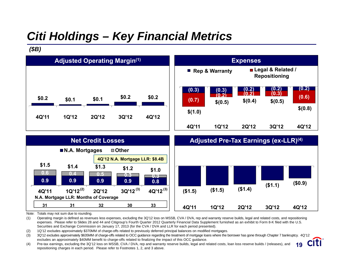# *Citi Holdings – Key Financial Metrics*

*(\$B)*





Note: Totals may not sum due to rounding.

(1) Operating margin is defined as revenues less expenses, excluding the 3Q'12 loss on MSSB, CVA / DVA, rep and warranty reserve builds, legal and related costs, and repositioning expenses. Please refer to Slides 28 and 44 and Citigroup's Fourth Quarter 2012 Quarterly Financial Data Supplement furnished as an exhibit to Form 8-K filed with the U.S. Securities and Exchange Commission on January 17, 2013 (for the CVA / DVA and LLR for each period presented).

(2) 1Q'12 excludes approximately \$370MM of charge-offs related to previously deferred principal balances on modified mortgages.

(3) 3Q'12 excludes approximately \$635MM of charge-offs related to OCC guidance regarding the treatment of mortgage loans where the borrower has gone through Chapter 7 bankruptcy. 4Q'12 excludes an approximately \$40MM benefit to charge-offs related to finalizing the impact of this OCC guidance. **Citi** 

**1819**

(4) Pre-tax earnings, excluding the 3Q'12 loss on MSSB, CVA / DVA, rep and warranty reserve builds, legal and related costs, loan loss reserve builds / (releases), and repositioning charges in each period. Please refer to Footnotes 1, 2, and 3 above.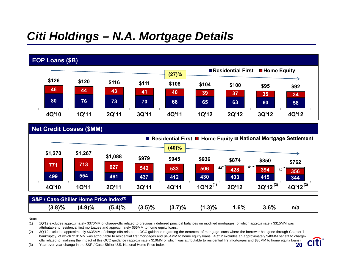### *Citi Holdings – N.A. Mortgage Details*



|           | Net Credit Losses (\$MM)                           |           |           |           |                        |                  |               |                                                                  |
|-----------|----------------------------------------------------|-----------|-----------|-----------|------------------------|------------------|---------------|------------------------------------------------------------------|
|           |                                                    |           |           |           |                        |                  |               | ■ Residential First ■ Home Equity ■ National Mortgage Settlement |
|           |                                                    |           |           | (40)%     |                        |                  |               |                                                                  |
| \$1,270   | \$1,267                                            | \$1,088   | \$979     | \$945     | \$936                  | \$874            | \$850         |                                                                  |
| 771       | 713                                                | 627       | 542       | 533       | 506<br>43 <sup>2</sup> | $41$ $-1$<br>428 | 394           | \$762                                                            |
| 499       | 554                                                | 461       | 437       | 412       | 430                    | 403              | 62<br>415     | 356<br>344                                                       |
| 4Q'10     | <b>1Q'11</b>                                       | 2Q'11     | 3Q'11     | 4Q'11     | $1Q'12^{(1)}$          | 2Q'12            | $3Q'12^{(2)}$ | 4Q'12 <sup>(2)</sup>                                             |
|           |                                                    |           |           |           |                        |                  |               |                                                                  |
|           | S&P / Case-Shiller Home Price Index <sup>(3)</sup> |           |           |           |                        |                  |               |                                                                  |
| $(3.8)\%$ | (4.9)%                                             | $(5.4)\%$ | $(3.5)\%$ | $(3.7)\%$ | $(1.3)\%$              | 1.6%             | 3.6%          | n/a                                                              |

Note:

(1) 1Q'12 excludes approximately \$370MM of charge-offs related to previously deferred principal balances on modified mortgages, of which approximately \$315MM was attributable to residential first mortgages and approximately \$55MM to home equity loans.

(2) 3Q'12 excludes approximately \$635MM of charge-offs related to OCC guidance regarding the treatment of mortgage loans where the borrower has gone through Chapter 7 bankruptcy, of which \$181MM was attributable to residential first mortgages and \$454MM to home equity loans. 4Q'12 excludes an approximately \$40MM benefit to chargeciti offs related to finalizing the impact of this OCC guidance (approximately \$10MM of which was attributable to residential first mortgages and \$30MM to home equity loans). **1920**

(3) Year-over-year change in the S&P / Case-Shiller U.S. National Home Price Index.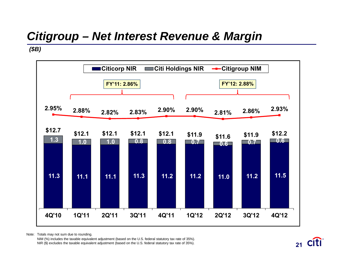# *Citigroup – Net Interest Revenue & Margin*

### *(\$B)*



Note: Totals may not sum due to rounding.

NIM (%) includes the taxable equivalent adjustment (based on the U.S. federal statutory tax rate of 35%). NIR (\$) excludes the taxable equivalent adjustment (based on the U.S. federal statutory tax rate of 35%).

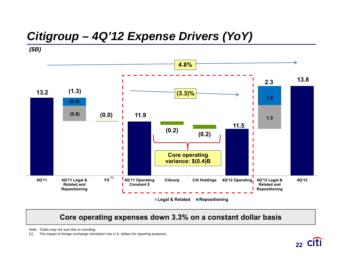### *Citigroup – 4Q'12 Expense Drivers (YoY)*

*(\$B)*



### **Core operating expenses down 3.3% on a constant dollar basis**

Note: Totals may not sum due to rounding.

(1) The impact of foreign exchange translation into U.S. dollars for reporting purposes.

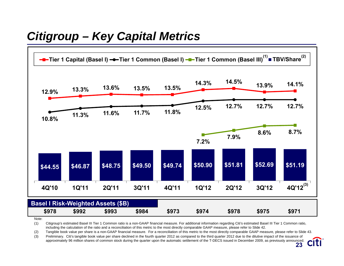### *Citigroup – Key Capital Metrics*



Note:

(1) Citigroup's estimated Basel III Tier 1 Common ratio is a non-GAAP financial measure. For additional information regarding Citi's estimated Basel III Tier 1 Common ratio, including the calculation of the ratio and a reconciliation of this metric to the most directly comparable GAAP measure, please refer to Slide 42.

(2) Tangible book value per share is a non-GAAP financial measure. For a reconciliation of this metric to the most directly comparable GAAP measure, please refer to Slide 43.

(3) Preliminary. Citi's tangible book value per share declined in the fourth quarter 2012 as compared to the third quarter 2012 due to the dilutive impact of the issuance of approximately 96 million shares of common stock during the quarter upon the automatic settlement of the T-DECS issued in December 2009, as previously announced.

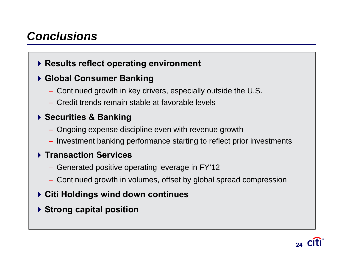### *Conclusions*

### **Results reflect operating environment**

### **Global Consumer Banking**

- Continued growth in key drivers, especially outside the U.S.
- Credit trends remain stable at favorable levels

### **Securities & Banking**

- Ongoing expense discipline even with revenue growth
- Investment banking performance starting to reflect prior investments

### **Transaction Services**

- Generated positive operating leverage in FY'12
- Continued growth in volumes, offset by global spread compression
- **Citi Holdings wind down continues**
- **Strong capital position**

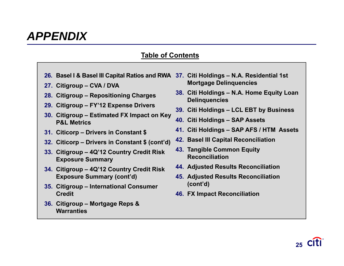### *APPENDIX*

### **Table of Contents**

- **26. Basel I & Basel III Capital Ratios and RWA 37. Citi Holdings – N.A. Residential 1st**
- **27. Citigroup – CVA / DVA**
- **28. Citigroup – Repositioning Charges**
- **29. Citigroup – FY'12 Expense Drivers**
- **30. Citigroup – Estimated FX Impact on Key P&L Metrics**
- **31. Citicorp – Drivers in Constant \$**
- **32. Citicorp – Drivers in Constant \$ (cont'd)**
- **33. Citigroup – 4Q'12 Country Credit Risk Exposure Summary**
- **34. Citigroup – 4Q'12 Country Credit Risk Exposure Summary (cont'd)**
- **35. Citigroup – International Consumer Credit**
- **36. Citigroup – Mortgage Reps & Warranties**
- **Mortgage Delinquencies**
- **38. Citi Holdings – N.A. Home Equity Loan Delinquencies**
- **39. Citi Holdings – LCL EBT by Business**
- **40. Citi Holdings – SAP Assets**
- **41. Citi Holdings – SAP AFS / HTM Assets**
- **42. Basel III Capital Reconciliation**
- **43. Tangible Common Equity Reconciliation**
- **44. Adjusted Results Reconciliation**
- **45. Adjusted Results Reconciliation (cont'd)**
- **46. FX Impact Reconciliation**

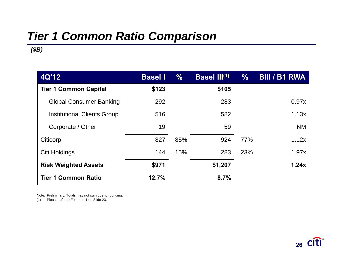# *Tier 1 Common Ratio Comparison*

*(\$B)*

| 4Q'12                              | <b>Basel I</b> | $\frac{0}{0}$ | Basel III <sup>(1)</sup> | $\%$ | <b>BIII / B1 RWA</b> |
|------------------------------------|----------------|---------------|--------------------------|------|----------------------|
| <b>Tier 1 Common Capital</b>       | \$123          |               | \$105                    |      |                      |
| <b>Global Consumer Banking</b>     | 292            |               | 283                      |      | 0.97x                |
| <b>Institutional Clients Group</b> | 516            |               | 582                      |      | 1.13x                |
| Corporate / Other                  | 19             |               | 59                       |      | <b>NM</b>            |
| Citicorp                           | 827            | 85%           | 924                      | 77%  | 1.12x                |
| Citi Holdings                      | 144            | 15%           | 283                      | 23%  | 1.97x                |
| <b>Risk Weighted Assets</b>        | \$971          |               | \$1,207                  |      | 1.24x                |
| <b>Tier 1 Common Ratio</b>         | 12.7%          |               | 8.7%                     |      |                      |

Note: Preliminary. Totals may not sum due to rounding.

(1) Please refer to Footnote 1 on Slide 23.

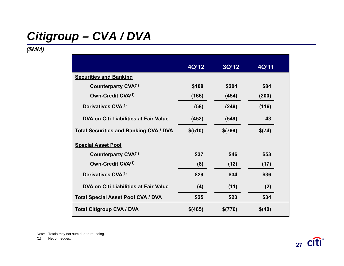# *Citigroup – CVA / DVA*

### *(\$MM)*

|                                               | 4Q'12    | 3Q'12   | 4Q'11  |  |
|-----------------------------------------------|----------|---------|--------|--|
| <b>Securities and Banking</b>                 |          |         |        |  |
| Counterparty CVA <sup>(1)</sup>               | \$108    | \$204   | \$84   |  |
| Own-Credit CVA <sup>(1)</sup>                 | (166)    | (454)   | (200)  |  |
| Derivatives CVA <sup>(1)</sup>                | (58)     | (249)   | (116)  |  |
| DVA on Citi Liabilities at Fair Value         | (452)    | (549)   | 43     |  |
| <b>Total Securities and Banking CVA / DVA</b> | \$ (510) | \$(799) | \$(74) |  |
| <b>Special Asset Pool</b>                     |          |         |        |  |
| Counterparty CVA <sup>(1)</sup>               | \$37     | \$46    | \$53   |  |
| Own-Credit CVA(1)                             | (8)      | (12)    | (17)   |  |
| Derivatives CVA <sup>(1)</sup>                | \$29     | \$34    | \$36   |  |
| DVA on Citi Liabilities at Fair Value         | (4)      | (11)    | (2)    |  |
| <b>Total Special Asset Pool CVA / DVA</b>     | \$25     | \$23    | \$34   |  |
| <b>Total Citigroup CVA / DVA</b>              | \$(485)  | \$(776) | \$(40) |  |

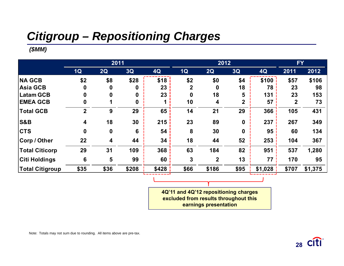# *Citigroup – Repositioning Charges*

### *(\$MM)*

|                        |                         | 2011             |                 |       | 2012        |             |                  |         | <b>FY</b>   |         |
|------------------------|-------------------------|------------------|-----------------|-------|-------------|-------------|------------------|---------|-------------|---------|
|                        | 1Q                      | 2Q               | 3Q              | 4Q    | 1Q          | 2Q          | 3Q               | 4Q      | 2011        | 2012    |
| <b>NA GCB</b>          | \$2                     | \$8              | \$28            | \$18  | \$2         | \$0         | \$4              | \$100   | \$57        | \$106   |
| <b>Asia GCB</b>        | 0                       | $\bf{0}$         | 0               | 23    | $\mathbf 2$ | 0           | 18               | 78      | 23          | 98      |
| <b>Latam GCB</b>       | 0                       | 0                | $\mathbf 0$     | 23    | $\mathbf 0$ | 18          | 5                | 131     | 23          | 153     |
| <b>EMEA GCB</b>        | 0                       |                  | $\bf{0}$        |       | 10          | 4           | $\boldsymbol{2}$ | 57      | $\mathbf 2$ | 73      |
| <b>Total GCB</b>       | $\overline{2}$          | 9                | 29              | 65    | 14          | 21          | 29               | 366     | 105         | 431     |
| <b>S&amp;B</b>         | $\overline{\mathbf{4}}$ | 18               | 30              | 215   | 23          | 89          | $\boldsymbol{0}$ | 237     | 267         | 349     |
| <b>CTS</b>             | $\mathbf 0$             | $\boldsymbol{0}$ | $6\phantom{1}6$ | 54    | 8           | 30          | $\boldsymbol{0}$ | 95      | 60          | 134     |
| Corp / Other           | 22                      | 4                | 44              | 34    | 18          | 44          | 52               | 253     | 104         | 367     |
| <b>Total Citicorp</b>  | 29                      | 31               | 109             | 368   | 63          | 184         | 82               | 951     | 537         | 1,280   |
| <b>Citi Holdings</b>   | $6\phantom{a}$          | 5                | 99              | 60    | 3           | $\mathbf 2$ | 13               | 77      | 170         | 95      |
| <b>Total Citigroup</b> | \$35                    | \$36             | \$208           | \$428 | \$66        | \$186       | \$95             | \$1,028 | \$707       | \$1,375 |

**4Q'11 and 4Q'12 repositioning charges excluded from results throughout this earnings presentation**

Note: Totals may not sum due to rounding. All items above are pre-tax.

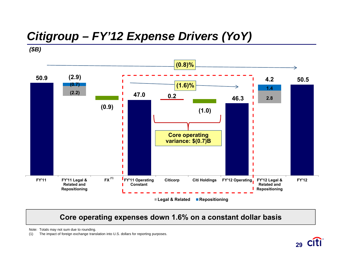# *Citigroup – FY'12 Expense Drivers (YoY)*

*(\$B)*



### **Core operating expenses down 1.6% on a constant dollar basis**

Note: Totals may not sum due to rounding.

(1) The impact of foreign exchange translation into U.S. dollars for reporting purposes.

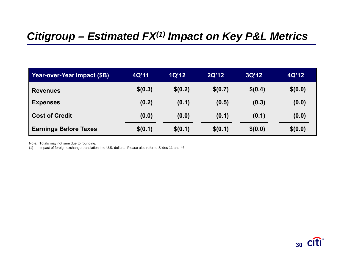### *Citigroup – Estimated FX(1) Impact on Key P&L Metrics*

| Year-over-Year Impact (\$B)  | 4Q'11   | 1Q'12   | 2Q'12   | 3Q'12   | 4Q'12   |
|------------------------------|---------|---------|---------|---------|---------|
| <b>Revenues</b>              | \$(0.3) | \$(0.2) | \$(0.7) | \$(0.4) | \$(0.0) |
| <b>Expenses</b>              | (0.2)   | (0.1)   | (0.5)   | (0.3)   | (0.0)   |
| <b>Cost of Credit</b>        | (0.0)   | (0.0)   | (0.1)   | (0.1)   | (0.0)   |
| <b>Earnings Before Taxes</b> | \$(0.1) | \$(0.1) | \$(0.1) | \$(0.0) | \$(0.0) |

Note: Totals may not sum due to rounding.

(1) Impact of foreign exchange translation into U.S. dollars. Please also refer to Slides 11 and 46.

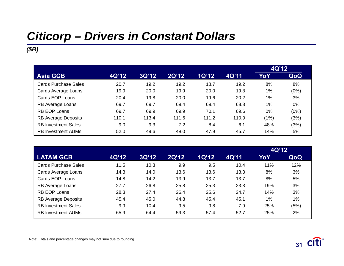# *Citicorp – Drivers in Constant Dollars*

### *(\$B)*

|                             |       |       |       |       |       | 4Q'12 |       |
|-----------------------------|-------|-------|-------|-------|-------|-------|-------|
| <b>Asia GCB</b>             | 4Q'12 | 3Q'12 | 2Q'12 | 1Q'12 | 4Q'11 | YoY   | QoQ   |
| <b>Cards Purchase Sales</b> | 20.7  | 19.2  | 19.2  | 18.7  | 19.2  | 8%    | 8%    |
| Cards Average Loans         | 19.9  | 20.0  | 19.9  | 20.0  | 19.8  | $1\%$ | (0%)  |
| Cards EOP Loans             | 20.4  | 19.8  | 20.0  | 19.6  | 20.2  | $1\%$ | 3%    |
| RB Average Loans            | 69.7  | 69.7  | 69.4  | 69.4  | 68.8  | $1\%$ | $0\%$ |
| <b>RB EOP Loans</b>         | 69.7  | 69.9  | 69.9  | 70.1  | 69.6  | 0%    | (0%)  |
| <b>RB Average Deposits</b>  | 110.1 | 113.4 | 111.6 | 111.2 | 110.9 | (1%)  | (3%)  |
| <b>RB Investment Sales</b>  | 9.0   | 9.3   | 7.2   | 8.4   | 6.1   | 48%   | (3%)  |
| <b>RB Investment AUMs</b>   | 52.0  | 49.6  | 48.0  | 47.9  | 45.7  | 14%   | 5%    |

|                             |       |       |       |              |       | 4Q'12 |       |
|-----------------------------|-------|-------|-------|--------------|-------|-------|-------|
| <b>LATAM GCB</b>            | 4Q'12 | 3Q'12 | 2Q'12 | <b>1Q'12</b> | 4Q'11 | YoY   | QoQ   |
| <b>Cards Purchase Sales</b> | 11.5  | 10.3  | 9.9   | 9.5          | 10.4  | 11%   | 12%   |
| Cards Average Loans         | 14.3  | 14.0  | 13.6  | 13.6         | 13.3  | 8%    | 3%    |
| Cards EOP Loans             | 14.8  | 14.2  | 13.9  | 13.7         | 13.7  | 8%    | 5%    |
| RB Average Loans            | 27.7  | 26.8  | 25.8  | 25.3         | 23.3  | 19%   | 3%    |
| <b>RB EOP Loans</b>         | 28.3  | 27.4  | 26.4  | 25.6         | 24.7  | 14%   | 3%    |
| <b>RB Average Deposits</b>  | 45.4  | 45.0  | 44.8  | 45.4         | 45.1  | $1\%$ | $1\%$ |
| <b>RB</b> Investment Sales  | 9.9   | 10.4  | 9.5   | 9.8          | 7.9   | 25%   | (5%)  |
| <b>RB</b> Investment AUMs   | 65.9  | 64.4  | 59.3  | 57.4         | 52.7  | 25%   | 2%    |



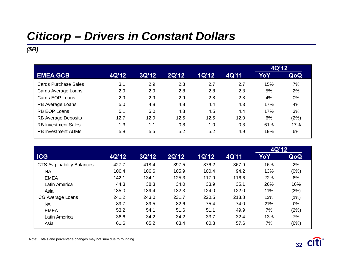# *Citicorp – Drivers in Constant Dollars*

### *(\$B)*

|                             |       |       |       |              |       | 4Q'12 |       |
|-----------------------------|-------|-------|-------|--------------|-------|-------|-------|
| <b>EMEA GCB</b>             | 4Q'12 | 3Q'12 | 2Q'12 | <b>1Q'12</b> | 4Q'11 | YoY   | QoQ   |
| <b>Cards Purchase Sales</b> | 3.1   | 2.9   | 2.8   | 2.7          | 2.7   | 15%   | 7%    |
| Cards Average Loans         | 2.9   | 2.9   | 2.8   | 2.8          | 2.8   | 5%    | 2%    |
| Cards EOP Loans             | 2.9   | 2.9   | 2.9   | 2.8          | 2.8   | 4%    | $0\%$ |
| RB Average Loans            | 5.0   | 4.8   | 4.8   | 4.4          | 4.3   | 17%   | 4%    |
| <b>RB EOP Loans</b>         | 5.1   | 5.0   | 4.8   | 4.5          | 4.4   | 17%   | 3%    |
| <b>RB Average Deposits</b>  | 12.7  | 12.9  | 12.5  | 12.5         | 12.0  | 6%    | (2%)  |
| <b>RB Investment Sales</b>  | 1.3   | 1.1   | 0.8   | 1.0          | 0.8   | 61%   | 17%   |
| <b>RB Investment AUMs</b>   | 5.8   | 5.5   | 5.2   | 5.2          | 4.9   | 19%   | 6%    |

|                            |       |       |       |       |       | 4Q'12 |       |
|----------------------------|-------|-------|-------|-------|-------|-------|-------|
| <b>ICG</b>                 | 4Q'12 | 3Q'12 | 2Q'12 | 1Q'12 | 4Q'11 | YoY   | QoQ   |
| CTS Avg Liability Balances | 427.7 | 418.4 | 397.5 | 376.2 | 367.9 | 16%   | 2%    |
| <b>NA</b>                  | 106.4 | 106.6 | 105.9 | 100.4 | 94.2  | 13%   | (0%)  |
| <b>EMEA</b>                | 142.1 | 134.1 | 125.3 | 117.9 | 116.6 | 22%   | 6%    |
| Latin America              | 44.3  | 38.3  | 34.0  | 33.9  | 35.1  | 26%   | 16%   |
| Asia                       | 135.0 | 139.4 | 132.3 | 124.0 | 122.0 | 11%   | (3%)  |
| <b>ICG Average Loans</b>   | 241.2 | 243.0 | 231.7 | 220.5 | 213.8 | 13%   | (1%)  |
| <b>NA</b>                  | 89.7  | 89.5  | 82.6  | 75.4  | 74.0  | 21%   | $0\%$ |
| <b>EMEA</b>                | 53.2  | 54.1  | 51.6  | 51.1  | 49.9  | 7%    | (2%)  |
| Latin America              | 36.6  | 34.2  | 34.2  | 33.7  | 32.4  | 13%   | 7%    |
| Asia                       | 61.6  | 65.2  | 63.4  | 60.3  | 57.6  | 7%    | (6%)  |

Note: Totals and percentage changes may not sum due to rounding.

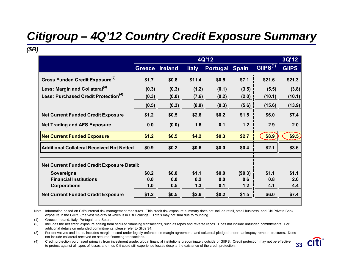# *Citigroup – 4Q'12 Country Credit Exposure Summary*

*(\$B)*

|                                                   |               |                |              | 4Q'12           |              |                      | 3Q'12        |
|---------------------------------------------------|---------------|----------------|--------------|-----------------|--------------|----------------------|--------------|
|                                                   | <b>Greece</b> | <b>Ireland</b> | <b>Italy</b> | <b>Portugal</b> | <b>Spain</b> | GIIPS <sup>(1)</sup> | <b>GIIPS</b> |
| Gross Funded Credit Exposure <sup>(2)</sup>       | \$1.7         | \$0.8          | \$11.4       | \$0.5           | \$7.1        | \$21.6               | \$21.3       |
| Less: Margin and Collateral <sup>(3)</sup>        | (0.3)         | (0.3)          | (1.2)        | (0.1)           | (3.5)        | (5.5)                | (3.8)        |
| Less: Purchased Credit Protection <sup>(4)</sup>  | (0.3)         | (0.0)          | (7.6)        | (0.2)           | (2.0)        | (10.1)               | (10.1)       |
|                                                   | (0.5)         | (0.3)          | (8.8)        | (0.3)           | (5.6)        | (15.6)               | (13.9)       |
| <b>Net Current Funded Credit Exposure</b>         | \$1.2         | \$0.5          | \$2.6        | \$0.2           | \$1.5        | \$6.0                | \$7.4        |
| <b>Net Trading and AFS Exposure</b>               | 0.0           | (0.0)          | 1.6          | 0.1             | $1.2$        | 2.9                  | 2.0          |
| <b>Net Current Funded Exposure</b>                | \$1.2         | \$0.5          | \$4.2        | \$0.3           | \$2.7        | \$8.9                | \$9.5]       |
| <b>Additional Collateral Received Not Netted</b>  | \$0.9         | \$0.2          | \$0.6        | \$0.0           | \$0.4        | \$2.1                | \$3.6        |
| <b>Net Current Funded Credit Exposure Detail:</b> |               |                |              |                 |              |                      |              |
| <b>Sovereigns</b>                                 | \$0.2         | \$0.0          | \$1.1        | \$0.0           | (\$0.3)      | \$1.1                | \$1.1        |
| <b>Financial Institutions</b>                     | 0.0           | 0.0            | 0.2          | 0.0             | 0.6          | 0.8                  | 2.0          |
| <b>Corporations</b>                               | 1.0           | 0.5            | 1.3          | 0.1             | 1.2          | 4.1                  | 4.4          |
| <b>Net Current Funded Credit Exposure</b>         | \$1.2         | \$0.5          | \$2.6        | \$0.2           | \$1.5        | \$6.0                | \$7.4        |

Note: Information based on Citi's internal risk management measures. This credit risk exposure summary does not include retail, small business, and Citi Private Bank exposure in the GIIPS (the vast majority of which is in Citi Holdings). Totals may not sum due to rounding.

(1) Greece, Ireland, Italy, Portugal, and Spain.

(2) Includes the net credit exposure arising from secured financing transactions, such as repos and reverse repos. Does not include unfunded commitments. For additional details on unfunded commitments, please refer to Slide 34.

(3) For derivatives and loans, includes margin posted under legally-enforceable margin agreements and collateral pledged under bankruptcy-remote structures. Does not include collateral received on secured financing transactions.

(4) Credit protection purchased primarily from investment grade, global financial institutions predominately outside of GIIPS. Credit protection may not be effective to protect against all types of losses and thus Citi could still experience losses despite the existence of the credit protection. **33**



**32**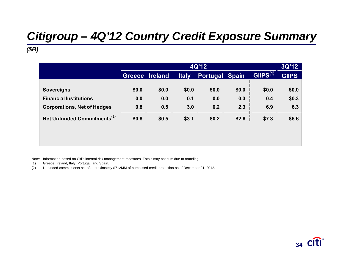# *Citigroup – 4Q'12 Country Credit Exposure Summary*

### *(\$B)*

|                                         |               |                                                                         |       | 4Q'12        |         |       | 3Q'12 |
|-----------------------------------------|---------------|-------------------------------------------------------------------------|-------|--------------|---------|-------|-------|
|                                         | <b>Greece</b> | GHPS <sup>(1)</sup><br>Portugal Spain<br><b>Ireland</b><br><b>Italy</b> |       | <b>GIIPS</b> |         |       |       |
|                                         |               |                                                                         |       |              |         |       |       |
| <b>Sovereigns</b>                       | \$0.0         | \$0.0                                                                   | \$0.0 | \$0.0        | \$0.0\$ | \$0.0 | \$0.0 |
| <b>Financial Institutions</b>           | 0.0           | 0.0                                                                     | 0.1   | 0.0          | 0.3     | 0.4   | \$0.3 |
| <b>Corporations, Net of Hedges</b>      | 0.8           | 0.5                                                                     | 3.0   | 0.2          | 2.3     | 6.9   | 6.3   |
| Net Unfunded Commitments <sup>(2)</sup> | \$0.8         | \$0.5                                                                   | \$3.1 | \$0.2        | \$2.6   | \$7.3 | \$6.6 |
|                                         |               |                                                                         |       |              |         |       |       |

Note: Information based on Citi's internal risk management measures. Totals may not sum due to rounding.

- (1) Greece, Ireland, Italy, Portugal, and Spain.
- (2) Unfunded commitments net of approximately \$712MM of purchased credit protection as of December 31, 2012.

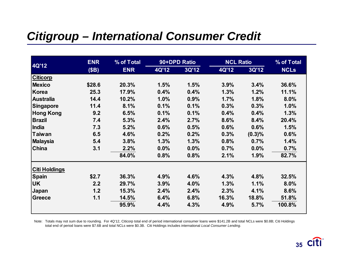### *Citigroup – International Consumer Credit*

|                      | <b>ENR</b> | % of Total |       | 90+DPD Ratio | <b>NCL Ratio</b> |           | % of Total  |
|----------------------|------------|------------|-------|--------------|------------------|-----------|-------------|
| <b>4Q'12</b>         | (SB)       | <b>ENR</b> | 4Q'12 | 3Q'12        | <b>4Q'12</b>     | 3Q'12     | <b>NCLs</b> |
| <b>Citicorp</b>      |            |            |       |              |                  |           |             |
| <b>Mexico</b>        | \$28.6     | 20.3%      | 1.5%  | 1.5%         | 3.9%             | 3.4%      | 36.6%       |
| Korea                | 25.3       | 17.9%      | 0.4%  | 0.4%         | 1.3%             | 1.2%      | 11.1%       |
| <b>Australia</b>     | 14.4       | 10.2%      | 1.0%  | 0.9%         | 1.7%             | 1.8%      | 8.0%        |
| <b>Singapore</b>     | 11.4       | 8.1%       | 0.1%  | 0.1%         | 0.3%             | 0.3%      | 1.0%        |
| <b>Hong Kong</b>     | 9.2        | 6.5%       | 0.1%  | 0.1%         | 0.4%             | 0.4%      | 1.3%        |
| <b>Brazil</b>        | 7.4        | 5.3%       | 2.4%  | 2.7%         | 8.6%             | 8.4%      | 20.4%       |
| India                | 7.3        | 5.2%       | 0.6%  | 0.5%         | 0.6%             | 0.6%      | 1.5%        |
| Taiwan               | 6.5        | 4.6%       | 0.2%  | 0.2%         | 0.3%             | $(0.3)\%$ | 0.6%        |
| <b>Malaysia</b>      | 5.4        | 3.8%       | 1.3%  | 1.3%         | 0.8%             | 0.7%      | 1.4%        |
| China                | 3.1        | 2.2%       | 0.0%  | 0.0%         | 0.7%             | 0.0%      | 0.7%        |
|                      |            | 84.0%      | 0.8%  | 0.8%         | 2.1%             | 1.9%      | 82.7%       |
| <b>Citi Holdings</b> |            |            |       |              |                  |           |             |
| <b>Spain</b>         | \$2.7      | 36.3%      | 4.9%  | 4.6%         | 4.3%             | 4.8%      | 32.5%       |
| <b>UK</b>            | 2.2        | 29.7%      | 3.9%  | 4.0%         | 1.3%             | 1.1%      | 8.0%        |
| Japan                | 1.2        | 15.3%      | 2.4%  | 2.4%         | 2.3%             | 4.1%      | 8.6%        |
| <b>Greece</b>        | 1.1        | 14.5%      | 6.4%  | 6.8%         | 16.3%            | 18.8%     | 51.8%       |
|                      |            | 95.9%      | 4.4%  | 4.3%         | 4.9%             | 5.7%      | 100.8%      |

Note: Totals may not sum due to rounding. For 4Q'12, Citicorp total end of period international consumer loans were \$141.2B and total NCLs were \$0.8B; Citi Holdings total end of period loans were \$7.6B and total NCLs were \$0.3B. Citi Holdings includes international *Local Consumer Lending*.

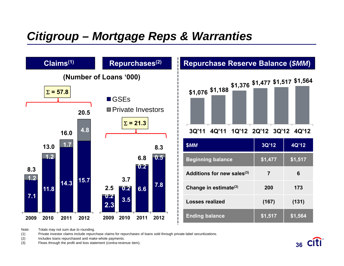### *Citigroup – Mortgage Reps & Warranties*



Note:Totals may not sum due to rounding.

(1) Private investor claims include repurchase claims for repurchases of loans sold through private-label securitizations.

(2) Includes loans repurchased and make-whole payments.

(3) Flows through the profit and loss statement (contra-revenue item). **36**

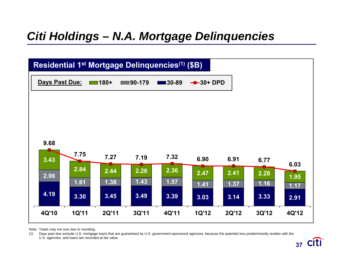### *Citi Holdings – N.A. Mortgage Delinquencies*



Note: Totals may not sum due to rounding.

(1) Days past due exclude U.S. mortgage loans that are guaranteed by U.S. government-sponsored agencies, because the potential loss predominantly resides with the U.S. agencies, and loans are recorded at fair value.

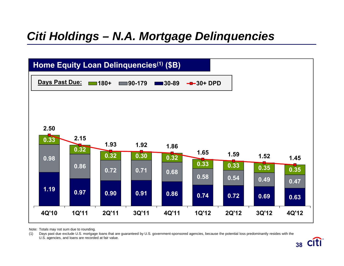### *Citi Holdings – N.A. Mortgage Delinquencies*



Note: Totals may not sum due to rounding.

(1) Days past due exclude U.S. mortgage loans that are guaranteed by U.S. government-sponsored agencies, because the potential loss predominantly resides with the U.S. agencies, and loans are recorded at fair value.

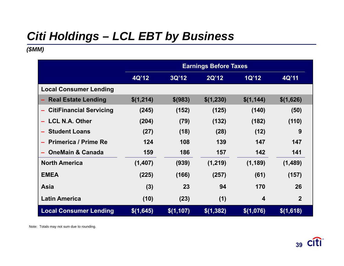# *Citi Holdings – LCL EBT by Business*

### *(\$MM)*

|                                     |           |           | <b>Earnings Before Taxes</b> |                         |                |
|-------------------------------------|-----------|-----------|------------------------------|-------------------------|----------------|
|                                     | 4Q'12     | 3Q'12     | 2Q'12                        | <b>1Q'12</b>            | 4Q'11          |
| <b>Local Consumer Lending</b>       |           |           |                              |                         |                |
| <b>Real Estate Lending</b>          | \$(1,214) | \$ (983)  | \$(1,230)                    | \$(1, 144)              | \$(1,626)      |
| <b>CitiFinancial Servicing</b><br>- | (245)     | (152)     | (125)                        | (140)                   | (50)           |
| <b>LCL N.A. Other</b>               | (204)     | (79)      | (132)                        | (182)                   | (110)          |
| <b>Student Loans</b>                | (27)      | (18)      | (28)                         | (12)                    | 9              |
| <b>Primerica / Prime Re</b>         | 124       | 108       | 139                          | 147                     | 147            |
| <b>OneMain &amp; Canada</b>         | 159       | 186       | 157                          | 142                     | 141            |
| <b>North America</b>                | (1,407)   | (939)     | (1,219)                      | (1, 189)                | (1,489)        |
| <b>EMEA</b>                         | (225)     | (166)     | (257)                        | (61)                    | (157)          |
| <b>Asia</b>                         | (3)       | 23        | 94                           | 170                     | 26             |
| <b>Latin America</b>                | (10)      | (23)      | (1)                          | $\overline{\mathbf{4}}$ | $\overline{2}$ |
| <b>Local Consumer Lending</b>       | \$(1,645) | \$(1,107) | \$(1,382)                    | \$(1,076)               | \$(1,618)      |

Note: Totals may not sum due to rounding.

**38 39**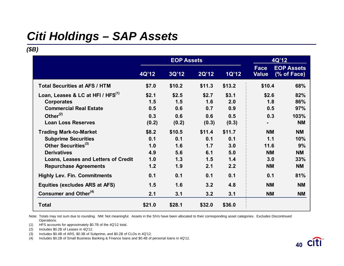# *Citi Holdings – SAP Assets*

### *(\$B)*

|                                                                                                                                                                                                    |                                          | <b>EOP Assets</b>                         |                                           |                                           | 4Q'12                                                     |                                                         |
|----------------------------------------------------------------------------------------------------------------------------------------------------------------------------------------------------|------------------------------------------|-------------------------------------------|-------------------------------------------|-------------------------------------------|-----------------------------------------------------------|---------------------------------------------------------|
|                                                                                                                                                                                                    | 4Q'12                                    | 3Q'12                                     | 2Q'12                                     | 1Q'12                                     | Face<br><b>Value</b>                                      | <b>EOP Assets</b><br>(% of Face)                        |
| <b>Total Securities at AFS / HTM</b>                                                                                                                                                               | \$7.0                                    | \$10.2                                    | \$11.3                                    | \$13.2                                    | \$10.4                                                    | 68%                                                     |
| Loan, Leases & LC at HFI / HFS <sup>(1)</sup><br><b>Corporates</b><br><b>Commercial Real Estate</b><br>Other $(2)$<br><b>Loan Loss Reserves</b>                                                    | \$2.1<br>1.5<br>0.5<br>0.3<br>(0.2)      | \$2.5<br>1.5<br>0.6<br>0.6<br>(0.2)       | \$2.7<br>1.6<br>0.7<br>0.6<br>(0.3)       | \$3.1<br>2.0<br>0.9<br>0.5<br>(0.3)       | \$2.6<br>1.8<br>0.5<br>0.3                                | 82%<br>86%<br>97%<br>103%<br><b>NM</b>                  |
| <b>Trading Mark-to-Market</b><br><b>Subprime Securities</b><br>Other Securities <sup>(3)</sup><br><b>Derivatives</b><br><b>Loans, Leases and Letters of Credit</b><br><b>Repurchase Agreements</b> | \$8.2<br>0.1<br>1.0<br>4.9<br>1.0<br>1.2 | \$10.5<br>0.1<br>1.6<br>5.6<br>1.3<br>1.9 | \$11.4<br>0.1<br>1.7<br>6.1<br>1.5<br>2.1 | \$11.7<br>0.1<br>3.0<br>5.0<br>1.4<br>2.2 | <b>NM</b><br>1.1<br>11.6<br><b>NM</b><br>3.0<br><b>NM</b> | <b>NM</b><br>10%<br>9%<br><b>NM</b><br>33%<br><b>NM</b> |
| <b>Highly Lev. Fin. Commitments</b><br><b>Equities (excludes ARS at AFS)</b>                                                                                                                       | 0.1<br>1.5                               | 0.1<br>1.6                                | 0.1<br>3.2                                | 0.1<br>4.8                                | 0.1<br><b>NM</b>                                          | 81%<br><b>NM</b>                                        |
| Consumer and Other <sup>(4)</sup>                                                                                                                                                                  | 2.1                                      | 3.1                                       | 3.2                                       | 3.1                                       | <b>NM</b>                                                 | <b>NM</b>                                               |
| <b>Total</b>                                                                                                                                                                                       | \$21.0                                   | \$28.1                                    | \$32.0                                    | \$36.0                                    |                                                           |                                                         |

Note: Totals may not sum due to rounding. NM: Not meaningful. Assets in the SIVs have been allocated to their corresponding asset categories. Excludes Discontinued Operations.

(1) HFS accounts for approximately \$0.7B of the 4Q'12 total.

(2) Includes \$0.2B of Leases in 4Q'12.

(3) Includes \$0.4B of ARS, \$0.3B of Subprime, and \$0.2B of CLOs in 4Q'12.

(4) Includes \$0.2B of Small Business Banking & Finance loans and \$0.4B of personal loans in 4Q'12.

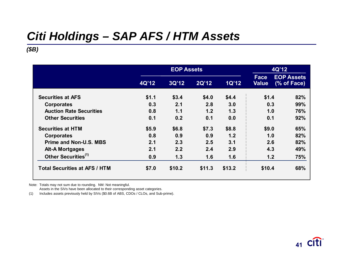# *Citi Holdings – SAP AFS / HTM Assets*

### *(\$B)*

|                                      |       | <b>EOP Assets</b> |        |        | 4Q'12                |                                  |
|--------------------------------------|-------|-------------------|--------|--------|----------------------|----------------------------------|
|                                      | 4Q'12 | 3Q'12             | 2Q'12  | 1Q'12  | Face<br><b>Value</b> | <b>EOP Assets</b><br>(% of Face) |
| <b>Securities at AFS</b>             | \$1.1 | \$3.4             | \$4.0  | \$4.4  | \$1.4                | 82%                              |
| <b>Corporates</b>                    | 0.3   | 2.1               | 2.8    | 3.0    | 0.3                  | 99%                              |
| <b>Auction Rate Securities</b>       | 0.8   | 1.1               | 1.2    | 1.3    | 1.0                  | 76%                              |
| <b>Other Securities</b>              | 0.1   | 0.2               | 0.1    | 0.0    | 0.1                  | 92%                              |
| <b>Securities at HTM</b>             | \$5.9 | \$6.8             | \$7.3  | \$8.8  | \$9.0                | 65%                              |
| <b>Corporates</b>                    | 0.8   | 0.9               | 0.9    | 1.2    | 1.0                  | 82%                              |
| <b>Prime and Non-U.S. MBS</b>        | 2.1   | 2.3               | 2.5    | 3.1    | 2.6                  | 82%                              |
| <b>Alt-A Mortgages</b>               | 2.1   | 2.2               | 2.4    | 2.9    | 4.3                  | 49%                              |
| Other Securities <sup>(1)</sup>      | 0.9   | 1.3               | 1.6    | 1.6    | 1.2                  | 75%                              |
| <b>Total Securities at AFS / HTM</b> | \$7.0 | \$10.2            | \$11.3 | \$13.2 | \$10.4               | 68%                              |

Note: Totals may not sum due to rounding. NM: Not meaningful.

Assets in the SIVs have been allocated to their corresponding asset categories.

(1) Includes assets previously held by SIVs (\$0.6B of ABS, CDOs / CLOs, and Sub-prime).

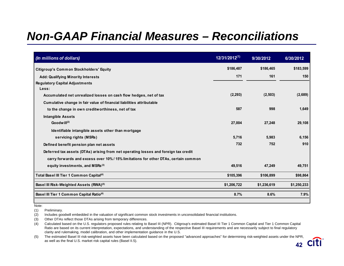| (In millions of dollars)                                                            | $12/31/2012^{(1)}$ | 9/30/2012   | 6/30/2012   |
|-------------------------------------------------------------------------------------|--------------------|-------------|-------------|
| <b>Citigroup's Common Stockholders' Equity</b>                                      | \$186,487          | \$186,465   | \$183,599   |
| <b>Add: Qualifying Minority Interests</b>                                           | 171                | 161         | 150         |
| <b>Regulatory Capital Adjustments</b>                                               |                    |             |             |
| Less:<br>Accumulated net unrealized losses on cash flow hedges, net of tax          | (2, 293)           | (2,503)     | (2,689)     |
| Cumulative change in fair value of financial liabilities attributable               |                    |             |             |
| to the change in own creditworthiness, net of tax                                   | 587                | 998         | 1,649       |
| <b>Intangible Assets</b>                                                            |                    |             |             |
| Goodwill $(2)$                                                                      | 27,004             | 27,248      | 29,108      |
| Identifiable intangible assets other than mortgage                                  |                    |             |             |
| servicing rights (MSRs)                                                             | 5,716              | 5,983       | 6,156       |
| Defined benefit pension plan net assets                                             | 732                | 752         | 910         |
| Deferred tax assets (DTAs) arising from net operating losses and foreign tax credit |                    |             |             |
| carry forwards and excess over 10% / 15% limitations for other DTAs, certain common |                    |             |             |
| equity investments, and MSRs <sup>(3)</sup>                                         | 49,516             | 47,249      | 49,751      |
| Total Basel III Tier 1 Common Capital <sup>(4)</sup>                                | \$105,396          | \$106,899   | \$98,864    |
| Basel III Risk-Weighted Assets (RWA) <sup>(5)</sup>                                 | \$1,206,722        | \$1,236,619 | \$1,250,233 |
| Basel III Tier 1 Common Capital Ratio <sup>(4)</sup>                                | 8.7%               | 8.6%        | 7.9%        |

Note:

(1) Preliminary.

(2) Includes goodwill embedded in the valuation of significant common stock investments in unconsolidated financial institutions.

(3) Other DTAs reflect those DTAs arising from temporary differences.

(4) Calculated based on the U.S. regulators proposed rules relating to Basel III (NPR). Citigroup's estimated Basel III Tier 1 Common Capital and Tier 1 Common Capital Ratio are based on its current interpretation, expectations, and understanding of the respective Basel III requirements and are necessarily subject to final regulatory clarity and rulemaking, model calibration, and other implementation guidance in the U.S.

**41 42**(5) The estimated Basel III risk-weighted assets have been calculated based on the proposed "advanced approaches" for determining risk-weighted assets under the NPR, as well as the final U.S. market risk capital rules (Basel II.5).

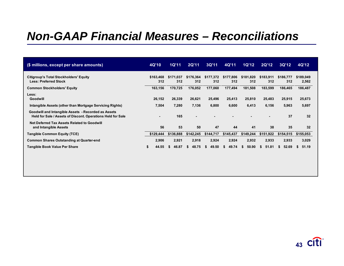| (\$ millions, except per share amounts)                                                                            | 4Q'10                    | <b>1Q'11</b>     | 2Q'11            | 3Q'11            | 4Q'11            | 1Q'12            | <b>2Q'12</b>     | 3Q'12            | 4Q'12              |
|--------------------------------------------------------------------------------------------------------------------|--------------------------|------------------|------------------|------------------|------------------|------------------|------------------|------------------|--------------------|
| Citigroup's Total Stockholders' Equity<br><b>Less: Preferred Stock</b>                                             | \$163,468<br>312         | \$171.037<br>312 | \$176,364<br>312 | \$177,372<br>312 | \$177,806<br>312 | \$181,820<br>312 | \$183,911<br>312 | \$186,777<br>312 | \$189,049<br>2,562 |
| <b>Common Stockholders' Equity</b>                                                                                 | 163,156                  | 170,725          | 176,052          | 177,060          | 177,494          | 181,508          | 183,599          | 186,465          | 186,487            |
| Less:<br><b>Goodwill</b>                                                                                           | 26,152                   | 26,339           | 26,621           | 25,496           | 25,413           | 25,810           | 25,483           | 25,915           | 25,673             |
| Intangible Assets (other than Mortgage Servicing Rights)                                                           | 7,504                    | 7,280            | 7,136            | 6,800            | 6,600            | 6,413            | 6,156            | 5,963            | 5,697              |
| Goodwill and Intangible Assets - Recorded as Assets<br>Held for Sale / Assets of Discont. Operations Held for Sale | $\overline{\phantom{a}}$ | 165              | $\blacksquare$   |                  |                  |                  |                  | 37               | 32                 |
| <b>Net Deferred Tax Assets Related to Goodwill</b><br>and Intangible Assets                                        | 56                       | 53               | 50               | 47               | 44               | 41               | 38               | 35               | 32                 |
| <b>Tangible Common Equity (TCE)</b>                                                                                | \$129,444                | \$136,888        | \$142,245        | \$144,717        | \$145,437        | \$149,244        | \$151,922        | \$154,515        | \$155,053          |
| <b>Common Shares Outstanding at Quarter-end</b>                                                                    | 2.906                    | 2,921            | 2,918            | 2.924            | 2,924            | 2,932            | 2,933            | 2,933            | 3,029              |
| <b>Tangible Book Value Per Share</b>                                                                               | \$<br>44.55              | 46.87<br>S.      | 48.75<br>S.      | 49.50<br>S.      | 49.74<br>S.      | 50.90<br>S.      | 51.81<br>£.      | 52.69<br>S.      | 51.19<br>S.        |

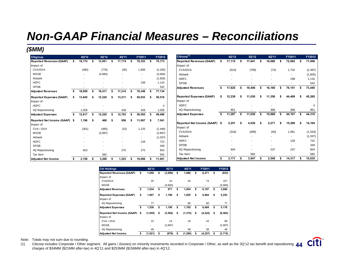### *(\$MM)*

| Citigroup                       |      | 4Q'12  |    | 3Q'12    |    | 4Q'11  | FY2011                   |    | FY2012   | Citicorp <sup>(1)</sup>         |    | 4Q'12                    |    | 3Q'12                    |    | 4Q'11  |     | FY2011 | FY2012   |
|---------------------------------|------|--------|----|----------|----|--------|--------------------------|----|----------|---------------------------------|----|--------------------------|----|--------------------------|----|--------|-----|--------|----------|
| <b>Reported Revenues (GAAP)</b> |      | 18,174 |    | 13,951   |    | 17,174 | 78,353                   |    | 70,173   | <b>Reported Revenues (GAAP)</b> |    | 17,115                   |    | 17,641                   |    | 16,086 |     | 72,082 | 71,006   |
| Impact of:                      |      |        |    |          |    |        |                          |    |          | Impact of:                      |    |                          |    |                          |    |        |     |        |          |
| CVA/DVA                         |      | (485)  |    | (776)    |    | (40)   | 1,806                    |    | (2, 330) | CVA/DVA                         |    | (510)                    |    | (799)                    |    | (74)   |     | 1,732  | (2, 487) |
| <b>MSSB</b>                     |      |        |    | (4,684)  |    |        |                          |    | (4,684)  | Akbank                          |    |                          |    |                          |    |        |     |        | (1,605)  |
| Akbank                          |      |        |    |          |    |        | $\overline{\phantom{a}}$ |    | (1,605)  | <b>HDFC</b>                     |    |                          |    |                          |    |        |     | 199    | 1,116    |
| <b>HDFC</b>                     |      |        |    |          |    |        | 199                      |    | 1,116    | <b>SPDB</b>                     |    |                          |    | $\overline{\phantom{a}}$ |    |        |     |        | 542      |
| <b>SPDB</b>                     |      |        |    |          |    |        |                          |    | 542      | <b>Adjusted Revenues</b>        | £. | 17,625                   |    | 18,440                   |    | 16,160 |     | 70,151 | 73,440   |
| <b>Adjusted Revenues</b>        |      | 18,659 |    | 19,411   |    | 17,214 | 76,348                   |    | 77,134   |                                 |    |                          |    |                          |    |        |     |        |          |
| <b>Reported Expenses (GAAP)</b> | \$   | 13,845 |    | 12,220   |    | 13,211 | 50,933                   |    | 50,518   | <b>Reported Expenses (GAAP)</b> | £. | 12,238                   |    | 11,030                   |    | 11,356 | -56 | 44,469 | 45,265   |
| Impact of:                      |      |        |    |          |    |        |                          |    |          | Impact of:                      |    |                          |    |                          |    |        |     |        |          |
| <b>HDFC</b>                     |      |        |    |          |    |        |                          |    | 4        | <b>HDFC</b>                     |    |                          |    |                          |    |        |     |        |          |
| 4Q Repositioning                |      | 1,028  |    |          |    | 428    | 428                      |    | 1,028    | 4Q Repositioning                |    | 951                      |    |                          |    | 368    |     | 368    | 951      |
| <b>Adjusted Expenses</b>        |      | 12,817 |    | 12,220   | \$ | 12,783 | 50,505                   |    | 49,486   | <b>Adjusted Expenses</b>        | \$ | 11,287                   |    | 11,030                   |    | 10,988 | \$  | 44,101 | 44,310   |
| Reported Net Income (GAAP)      | - \$ | 1.196  | s. | 468      | s. | 956    | 11.067                   | S. | 7,541    |                                 |    |                          |    |                          |    |        |     |        |          |
| Impact of:                      |      |        |    |          |    |        |                          |    |          | Reported Net Income (GAAP) \$   |    | 2,251                    | £. | 4.030                    | s. | 2,271  | S   | 15,289 | 14,104   |
| CVA / DVA                       |      | (301)  |    | (485)    |    | (22)   | 1,125                    |    | (1, 446) | Impact of:                      |    |                          |    |                          |    |        |     |        |          |
| <b>MSSB</b>                     |      |        |    | (2, 897) |    |        |                          |    | (2,897)  | CVA/DVA                         |    | (316)                    |    | (499)                    |    | (40)   |     | 1,081  | (1, 543) |
| Akbank                          |      |        |    |          |    |        |                          |    | (1,037)  | Akbank                          |    |                          |    |                          |    |        |     |        | (1,037)  |
| <b>HDFC</b>                     |      |        |    |          |    |        | 128                      |    | 722      | <b>HDFC</b>                     |    |                          |    |                          |    |        |     | 128    | 722      |
| <b>SPDB</b>                     |      |        |    |          |    |        |                          |    | 349      | <b>SPDB</b>                     |    |                          |    |                          |    |        |     |        | 349      |
| 4Q Repositioning                |      | 653    |    |          |    | 275    | 275                      |    | 653      | 4Q Repositioning                |    | 604                      |    |                          |    | 237    |     | 237    | 604      |
| Tax Item                        |      |        |    | 582      |    |        |                          |    | 582      | Tax Item                        |    | $\overline{\phantom{a}}$ |    | 582                      |    |        |     |        | 582      |
| Adjusted Net Income             |      | 2,150  |    | 3,268    |    | 1,253  | 10,089                   |    | 11,921   | <b>Adjusted Net Income</b>      |    | 3,171                    |    | 3,947                    |    | 2,548  |     | 14,317 | 15,635   |

| <b>Citi Holdings</b>            | 4Q'12         | 3Q'12          | 4Q'11          | FY2011         | FY2012         |
|---------------------------------|---------------|----------------|----------------|----------------|----------------|
| <b>Reported Revenues (GAAP)</b> | \$<br>1,059   | \$<br>(3,690)  | \$<br>1,088    | \$<br>6,271    | \$<br>(833)    |
| Impact of:                      |               |                |                |                |                |
| CVA/DVA                         | 25            | 23             | 34             | 74             | 157            |
| <b>MSSB</b>                     |               | (4,684)        |                |                | (4,684)        |
| <b>Adjusted Revenues</b>        | \$<br>1,034   | \$<br>971      | \$<br>1,054    | \$<br>6,197    | \$<br>3,694    |
| <b>Reported Expenses (GAAP)</b> | \$<br>1,607   | \$<br>1,190    | \$<br>1,855    | \$<br>6,464    | \$<br>5,253    |
| Impact of:                      |               |                |                |                |                |
| 4Q Repositioning                | 77            |                | 60             | 60             | 77             |
| <b>Adjusted Expenses</b>        | \$<br>1,530   | \$<br>1,190    | \$<br>1,795    | \$<br>6,404    | \$<br>5,176    |
| Reported Net Income (GAAP)      | \$<br>(1,055) | \$<br>(3, 562) | \$<br>(1, 315) | \$<br>(4, 222) | \$<br>(6, 563) |
| Impact of:                      |               |                |                |                |                |
| CVA / DVA                       | 15            | 14             | 18             | 43             | 98             |
| <b>MSSB</b>                     |               | (2,897)        |                |                | (2, 897)       |
| 4Q Repositioning                | 49            |                | 38             | 38             | 49             |
| <b>Adjusted Net Income</b>      | \$<br>(1,021) | \$<br>(679)    | \$<br>(1, 295) | \$<br>(4, 227) | \$<br>(3, 715) |

Note: Totals may not sum due to rounding.

(1) Citicorp includes Corporate / Other segment. All gains / (losses) on minority investments recorded in Corporate / Other, as well as the 3Q'12 tax benefit and repositioning 44 charges of \$34MM (\$21MM after-tax) in 4Q'11 and \$253MM (\$156MM after-tax) in 4Q'12.

citi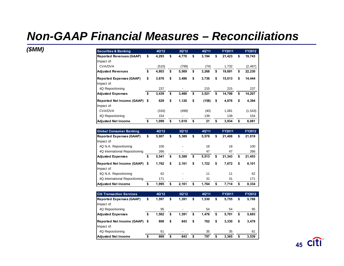| (\$MM) | <b>Securities &amp; Banking</b> | 4Q'12       |    | 3Q'12 | 4Q'11       |    | FY2011 |   | FY2012   |
|--------|---------------------------------|-------------|----|-------|-------------|----|--------|---|----------|
|        | <b>Reported Revenues (GAAP)</b> | \$<br>4,293 | \$ | 4,770 | \$<br>3,194 | S  | 21,423 |   | 19,743   |
|        | Impact of:                      |             |    |       |             |    |        |   |          |
|        | CVA/DVA                         | (510)       |    | (799) | (74)        |    | 1,732  |   | (2, 487) |
|        | Adjusted Revenues               | \$<br>4,803 | \$ | 5,569 | \$<br>3,268 | \$ | 19,691 | S | 22,230   |
|        | Reported Expenses (GAAP)        | \$<br>3,676 | \$ | 3,486 | \$<br>3,736 | \$ | 15,013 |   | 14,444   |
|        | Impact of:                      |             |    |       |             |    |        |   |          |
|        | 4Q Repositioning                | 237         |    |       | 215         |    | 215    |   | 237      |
|        | Adjusted Expenses               | \$<br>3,439 | s. | 3,486 | \$<br>3,521 | \$ | 14,798 | Ъ | 14,207   |
|        | Reported Net Income (GAAP) \$   | 629         | \$ | 1,120 | \$<br>(158) | \$ | 4,876  |   | 4,384    |
|        | Impact of:                      |             |    |       |             |    |        |   |          |
|        | CVA/DVA                         | (316)       |    | (499) | (40)        |    | 1,081  |   | (1, 543) |
|        | 4Q Repositioning                | 154         |    |       | 139         |    | 139    |   | 154      |
|        | Adjusted Net Income             | 1,099       |    | 1,619 | \$<br>21    |    | 3,934  |   | 6,081    |

| <b>Global Consumer Banking</b>  | 4Q'12       | 3Q'12       | 4Q'11       | <b>FY2011</b> | FY2012       |
|---------------------------------|-------------|-------------|-------------|---------------|--------------|
| <b>Reported Expenses (GAAP)</b> | \$<br>5.907 | \$<br>5,389 | \$<br>5,578 | \$<br>21,408  | \$<br>21,819 |
| Impact of:                      |             |             |             |               |              |
| 4Q N.A. Repositioning           | 100         |             | 18          | 18            | 100          |
| 4Q International Repositioning  | 266         | -           | 47          | 47            | 266          |
| <b>Adjusted Expenses</b>        | \$<br>5.541 | \$<br>5,389 | \$<br>5,513 | \$<br>21,343  | \$<br>21,453 |
| Reported Net Income (GAAP) \$   | 1,762       | \$<br>2.161 | \$<br>1,722 | \$<br>7,672   | \$<br>8.101  |
| Impact of:                      |             |             |             |               |              |
| 4Q N.A. Repositioning           | 62          |             | 11          | 11            | 62           |
| 4Q International Repositioning  | 171         | ٠           | 31          | 31            | 171          |
| lAdiusted Net Income            | \$<br>1.995 | \$<br>2.161 | \$<br>1.764 | \$<br>7.714   | \$<br>8.334  |

| <b>Citi Transaction Services</b> | 4Q'12       | 3Q'12       | 4Q'11       |    | <b>FY2011</b> | FY2012      |
|----------------------------------|-------------|-------------|-------------|----|---------------|-------------|
| <b>Reported Expenses (GAAP)</b>  | \$<br>1,597 | \$<br>1,391 | \$<br>1,530 | \$ | 5,755         | \$<br>5,788 |
| Impact of:                       |             |             |             |    |               |             |
| 4Q Repositioning                 | 95          | ٠           | 54          |    | 54            | 95          |
| Adjusted Expenses                | \$<br>1,502 | \$<br>1.391 | \$<br>1.476 | \$ | 5.701         | \$<br>5,693 |
| Reported Net Income (GAAP) \$    | 808         | \$<br>843   | \$<br>762   | \$ | 3.330         | \$<br>3,478 |
| Impact of:                       |             |             |             |    |               |             |
| 4Q Repositioning                 | 61          |             | 35          |    | 35            | 61          |
| <b>Adjusted Net Income</b>       | \$<br>869   | \$<br>843   | 797         | S  | 3.365         | \$<br>3,539 |

**44 45**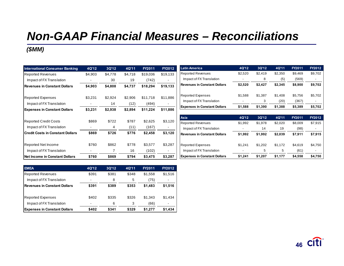### *(\$MM)*

| <b>International Consumer Banking</b>   | 4Q'12   | 3Q'12   | 4Q'11   | FY2011   | FY2012                   | <b>Latin America</b>                | 4Q'12   | 3Q'12   | 4Q'11   | FY2011  | FY2012  |
|-----------------------------------------|---------|---------|---------|----------|--------------------------|-------------------------------------|---------|---------|---------|---------|---------|
| <b>Reported Revenues</b>                | \$4,903 | \$4,778 | \$4,718 | \$19,036 | \$19,133                 | <b>Reported Revenues</b>            | \$2,520 | \$2,419 | \$2,350 | \$9,469 | \$9,702 |
| Impact of FX Translation                |         | 30      | 19      | (742)    | $\overline{\phantom{a}}$ | Impact of FX Translation            |         | 8       | (5)     | (569)   |         |
| Revenues in Constant Dollars            | \$4,903 | \$4,808 | \$4,737 | \$18,294 | \$19,133                 | Revenues in Constant Dollars        | \$2,520 | \$2,427 | \$2,345 | \$8,900 | \$9,702 |
| Reported Expenses                       | \$3,231 | \$2,924 | \$2,906 | \$11,718 | \$11,886                 | <b>Reported Expenses</b>            | \$1,588 | \$1,387 | \$1,408 | \$5,756 | \$5,702 |
|                                         |         |         |         |          |                          | Impact of FX Translation            |         | 3       | (20)    | (367)   |         |
| Impact of FX Translation                |         | 14      | (12)    | (494)    |                          | <b>Expenses in Constant Dollars</b> | \$1,588 | \$1,390 | \$1,388 | \$5,389 | \$5,702 |
| <b>Expenses in Constant Dollars</b>     | \$3,231 | \$2,938 | \$2,894 | \$11,224 | \$11,886                 |                                     |         |         |         |         |         |
|                                         |         |         |         |          |                          | Asia                                | 4Q'12   | 3Q'12   | 4Q'11   | FY2011  | FY2012  |
| <b>Reported Credit Costs</b>            | \$869   | \$722   | \$787   | \$2,625  | \$3,120                  | <b>Reported Revenues</b>            | \$1,992 | \$1,978 | \$2,020 | \$8,009 | \$7,915 |
| Impact of FX Translation                |         | 4       | (11)    | (167)    | $\,$ $\,$                | Impact of FX Translation            |         | 14      | 19      | (98)    |         |
| <b>Credit Costs in Constant Dollars</b> | \$869   | \$726   | \$776   | \$2,458  | \$3,120                  | <b>Revenues in Constant Dollars</b> | \$1,992 | \$1,992 | \$2,039 | \$7,911 | \$7,915 |
| Reported Net Income                     | \$760   | \$862   | \$778   | \$3,577  | \$3,287                  | <b>Reported Expenses</b>            | \$1,241 | \$1,202 | \$1,172 | \$4,619 | \$4,750 |
| Impact of FX Translation                |         | 7       | 16      | (102)    | $\blacksquare$           | Impact of FX Translation            |         | 5       | 5       | (61)    |         |
| <b>INet Income in Constant Dollars</b>  | \$760   | \$869   | \$794   | \$3,475  | \$3,287                  | <b>Expenses in Constant Dollars</b> | \$1,241 | \$1,207 | \$1,177 | \$4,558 | \$4,750 |

| <b>EMEA</b>                         | 4Q'12 | 3Q'12 | 4Q'11 | <b>FY2011</b> | FY2012  |
|-------------------------------------|-------|-------|-------|---------------|---------|
| <b>Reported Revenues</b>            | \$391 | \$381 | \$348 | \$1.558       | \$1,516 |
| Impact of FX Translation            | -     | 8     | 5     | (75)          |         |
| Revenues in Constant Dollars        | \$391 | \$389 | \$353 | \$1,483       | \$1,516 |
| <b>Reported Expenses</b>            | \$402 | \$335 | \$326 | \$1.343       | \$1,434 |
| Impact of FX Translation            |       | 6     | 3     | (66)          |         |
| <b>Expenses in Constant Dollars</b> | \$402 | \$341 | \$329 | \$1.277       | \$1,434 |